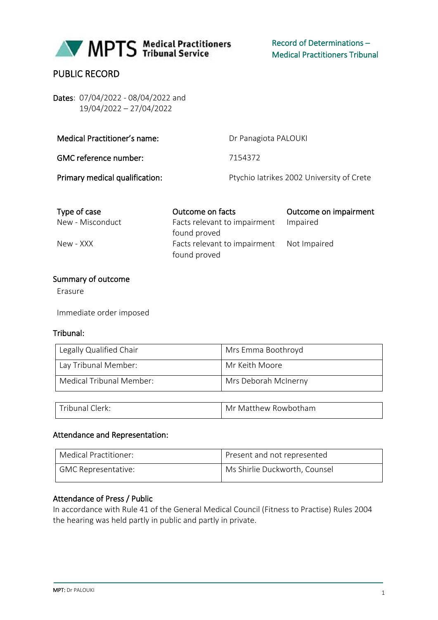

# PUBLIC RECORD

Dates: 07/04/2022 - 08/04/2022 and 19/04/2022 – 27/04/2022

| Medical Practitioner's name:   | Dr Panagiota PALOUKI                      |
|--------------------------------|-------------------------------------------|
| GMC reference number:          | 7154372                                   |
| Primary medical qualification: | Ptychio latrikes 2002 University of Crete |

| Type of case     | Outcome on facts                          | Outcome on impairment |
|------------------|-------------------------------------------|-----------------------|
| New - Misconduct | Facts relevant to impairment              | Impaired              |
|                  | found proved                              |                       |
| New - XXX        | Facts relevant to impairment Not Impaired |                       |
|                  | found proved                              |                       |

### Summary of outcome

Erasure

Immediate order imposed

### Tribunal:

| Legally Qualified Chair  | Mrs Emma Boothroyd   |
|--------------------------|----------------------|
| Lay Tribunal Member:     | Mr Keith Moore       |
| Medical Tribunal Member: | Mrs Deborah McInerny |

| Tribunal Clerk: | Mr Matthew Rowbotham |
|-----------------|----------------------|

### Attendance and Representation:

| Medical Practitioner: | Present and not represented   |
|-----------------------|-------------------------------|
| GMC Representative:   | Ms Shirlie Duckworth, Counsel |

## Attendance of Press / Public

In accordance with Rule 41 of the General Medical Council (Fitness to Practise) Rules 2004 the hearing was held partly in public and partly in private.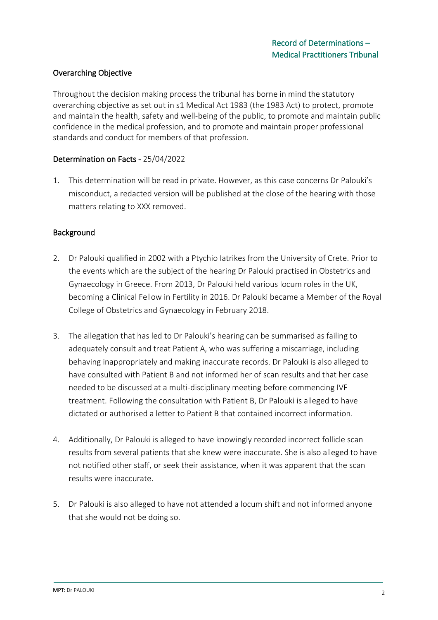## Overarching Objective

Throughout the decision making process the tribunal has borne in mind the statutory overarching objective as set out in s1 Medical Act 1983 (the 1983 Act) to protect, promote and maintain the health, safety and well-being of the public, to promote and maintain public confidence in the medical profession, and to promote and maintain proper professional standards and conduct for members of that profession.

## Determination on Facts - 25/04/2022

1. This determination will be read in private. However, as this case concerns Dr Palouki's misconduct, a redacted version will be published at the close of the hearing with those matters relating to XXX removed.

### Background

- 2. Dr Palouki qualified in 2002 with a Ptychio Iatrikes from the University of Crete. Prior to the events which are the subject of the hearing Dr Palouki practised in Obstetrics and Gynaecology in Greece. From 2013, Dr Palouki held various locum roles in the UK, becoming a Clinical Fellow in Fertility in 2016. Dr Palouki became a Member of the Royal College of Obstetrics and Gynaecology in February 2018.
- 3. The allegation that has led to Dr Palouki's hearing can be summarised as failing to adequately consult and treat Patient A, who was suffering a miscarriage, including behaving inappropriately and making inaccurate records. Dr Palouki is also alleged to have consulted with Patient B and not informed her of scan results and that her case needed to be discussed at a multi-disciplinary meeting before commencing IVF treatment. Following the consultation with Patient B, Dr Palouki is alleged to have dictated or authorised a letter to Patient B that contained incorrect information.
- 4. Additionally, Dr Palouki is alleged to have knowingly recorded incorrect follicle scan results from several patients that she knew were inaccurate. She is also alleged to have not notified other staff, or seek their assistance, when it was apparent that the scan results were inaccurate.
- 5. Dr Palouki is also alleged to have not attended a locum shift and not informed anyone that she would not be doing so.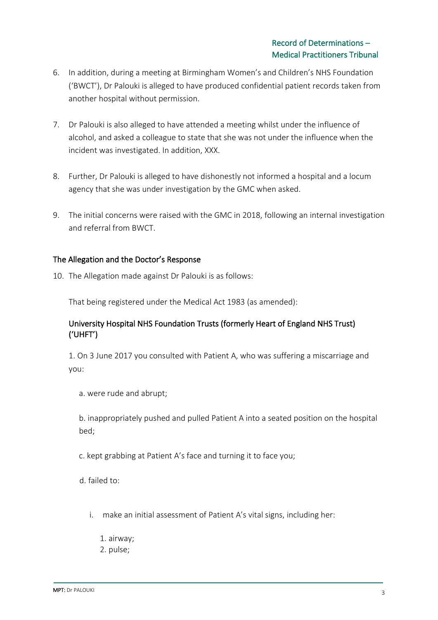- 6. In addition, during a meeting at Birmingham Women's and Children's NHS Foundation ('BWCT'), Dr Palouki is alleged to have produced confidential patient records taken from another hospital without permission.
- 7. Dr Palouki is also alleged to have attended a meeting whilst under the influence of alcohol, and asked a colleague to state that she was not under the influence when the incident was investigated. In addition, XXX.
- 8. Further, Dr Palouki is alleged to have dishonestly not informed a hospital and a locum agency that she was under investigation by the GMC when asked.
- 9. The initial concerns were raised with the GMC in 2018, following an internal investigation and referral from BWCT.

## The Allegation and the Doctor's Response

10. The Allegation made against Dr Palouki is as follows:

That being registered under the Medical Act 1983 (as amended):

## University Hospital NHS Foundation Trusts (formerly Heart of England NHS Trust) ('UHFT')

1. On 3 June 2017 you consulted with Patient A, who was suffering a miscarriage and you:

a. were rude and abrupt;

b. inappropriately pushed and pulled Patient A into a seated position on the hospital bed;

c. kept grabbing at Patient A's face and turning it to face you;

d. failed to:

- i. make an initial assessment of Patient A's vital signs, including her:
	- 1. airway;
	- 2. pulse;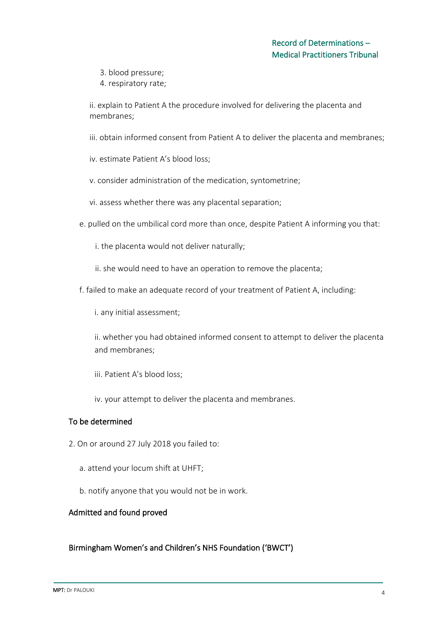3. blood pressure;

4. respiratory rate;

ii. explain to Patient A the procedure involved for delivering the placenta and membranes;

iii. obtain informed consent from Patient A to deliver the placenta and membranes;

iv. estimate Patient A's blood loss;

- v. consider administration of the medication, syntometrine;
- vi. assess whether there was any placental separation;
- e. pulled on the umbilical cord more than once, despite Patient A informing you that:
	- i. the placenta would not deliver naturally;
	- ii. she would need to have an operation to remove the placenta;
- f. failed to make an adequate record of your treatment of Patient A, including:

i. any initial assessment;

ii. whether you had obtained informed consent to attempt to deliver the placenta and membranes;

- iii. Patient A's blood loss;
- iv. your attempt to deliver the placenta and membranes.

## To be determined

- 2. On or around 27 July 2018 you failed to:
	- a. attend your locum shift at UHFT;
	- b. notify anyone that you would not be in work.

## Admitted and found proved

## Birmingham Women's and Children's NHS Foundation ('BWCT')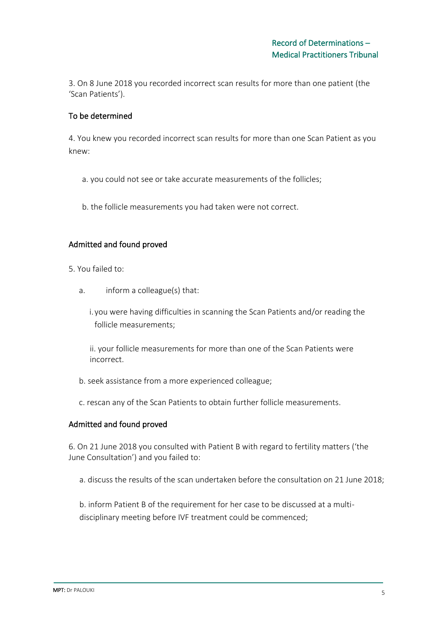3. On 8 June 2018 you recorded incorrect scan results for more than one patient (the 'Scan Patients').

## To be determined

4. You knew you recorded incorrect scan results for more than one Scan Patient as you knew:

- a. you could not see or take accurate measurements of the follicles;
- b. the follicle measurements you had taken were not correct.

## Admitted and found proved

- 5. You failed to:
	- a. inform a colleague(s) that:
		- i. you were having difficulties in scanning the Scan Patients and/or reading the follicle measurements;

ii. your follicle measurements for more than one of the Scan Patients were incorrect.

- b. seek assistance from a more experienced colleague;
- c. rescan any of the Scan Patients to obtain further follicle measurements.

## Admitted and found proved

6. On 21 June 2018 you consulted with Patient B with regard to fertility matters ('the June Consultation') and you failed to:

a. discuss the results of the scan undertaken before the consultation on 21 June 2018;

b. inform Patient B of the requirement for her case to be discussed at a multidisciplinary meeting before IVF treatment could be commenced;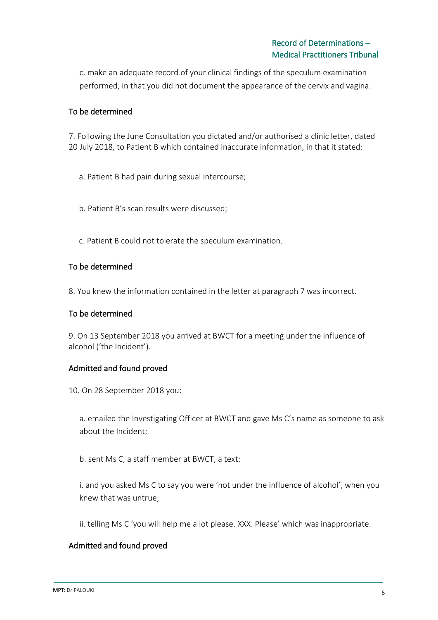c. make an adequate record of your clinical findings of the speculum examination performed, in that you did not document the appearance of the cervix and vagina.

## To be determined

7. Following the June Consultation you dictated and/or authorised a clinic letter, dated 20 July 2018, to Patient B which contained inaccurate information, in that it stated:

- a. Patient B had pain during sexual intercourse;
- b. Patient B's scan results were discussed;
- c. Patient B could not tolerate the speculum examination.

## To be determined

8. You knew the information contained in the letter at paragraph 7 was incorrect.

## To be determined

9. On 13 September 2018 you arrived at BWCT for a meeting under the influence of alcohol ('the Incident').

## Admitted and found proved

10. On 28 September 2018 you:

a. emailed the Investigating Officer at BWCT and gave Ms C's name as someone to ask about the Incident;

b. sent Ms C, a staff member at BWCT, a text:

i. and you asked Ms C to say you were 'not under the influence of alcohol', when you knew that was untrue;

ii. telling Ms C 'you will help me a lot please. XXX. Please' which was inappropriate.

## Admitted and found proved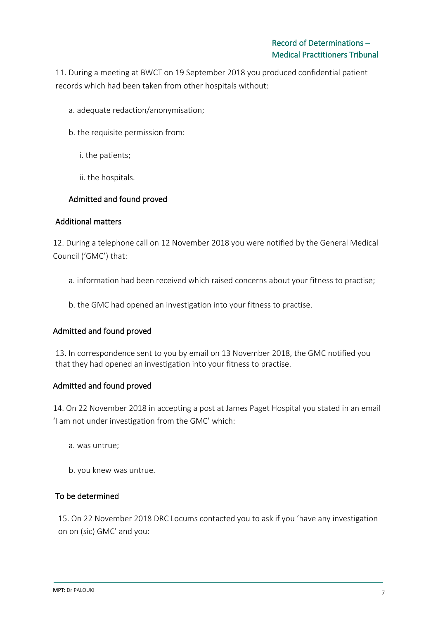11. During a meeting at BWCT on 19 September 2018 you produced confidential patient records which had been taken from other hospitals without:

- a. adequate redaction/anonymisation;
- b. the requisite permission from:
	- i. the patients;
	- ii. the hospitals.

## Admitted and found proved

### Additional matters

12. During a telephone call on 12 November 2018 you were notified by the General Medical Council ('GMC') that:

- a. information had been received which raised concerns about your fitness to practise;
- b. the GMC had opened an investigation into your fitness to practise.

## Admitted and found proved

13. In correspondence sent to you by email on 13 November 2018, the GMC notified you that they had opened an investigation into your fitness to practise.

### Admitted and found proved

14. On 22 November 2018 in accepting a post at James Paget Hospital you stated in an email 'I am not under investigation from the GMC' which:

- a. was untrue;
- b. you knew was untrue.

## To be determined

15. On 22 November 2018 DRC Locums contacted you to ask if you 'have any investigation on on (sic) GMC' and you: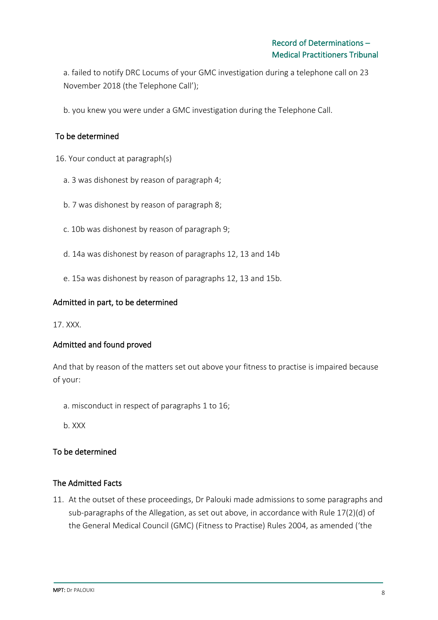a. failed to notify DRC Locums of your GMC investigation during a telephone call on 23 November 2018 (the Telephone Call');

b. you knew you were under a GMC investigation during the Telephone Call.

## To be determined

16. Your conduct at paragraph(s)

- a. 3 was dishonest by reason of paragraph 4;
- b. 7 was dishonest by reason of paragraph 8;
- c. 10b was dishonest by reason of paragraph 9;
- d. 14a was dishonest by reason of paragraphs 12, 13 and 14b
- e. 15a was dishonest by reason of paragraphs 12, 13 and 15b.

### Admitted in part, to be determined

17. XXX.

## Admitted and found proved

And that by reason of the matters set out above your fitness to practise is impaired because of your:

- a. misconduct in respect of paragraphs 1 to 16;
- b. XXX

## To be determined

## The Admitted Facts

11. At the outset of these proceedings, Dr Palouki made admissions to some paragraphs and sub-paragraphs of the Allegation, as set out above, in accordance with Rule 17(2)(d) of the General Medical Council (GMC) (Fitness to Practise) Rules 2004, as amended ('the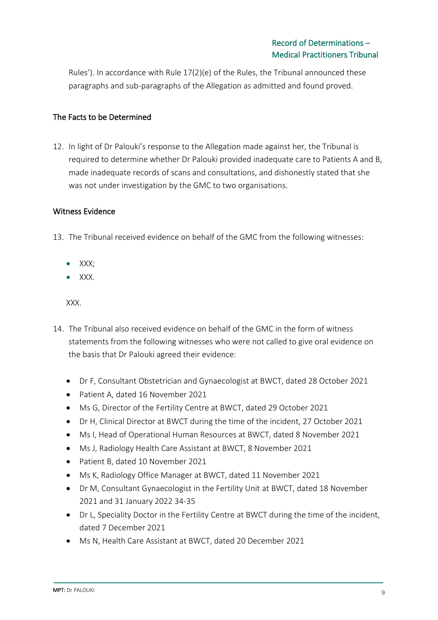Rules'). In accordance with Rule 17(2)(e) of the Rules, the Tribunal announced these paragraphs and sub-paragraphs of the Allegation as admitted and found proved.

## The Facts to be Determined

12. In light of Dr Palouki's response to the Allegation made against her, the Tribunal is required to determine whether Dr Palouki provided inadequate care to Patients A and B, made inadequate records of scans and consultations, and dishonestly stated that she was not under investigation by the GMC to two organisations.

### Witness Evidence

- 13. The Tribunal received evidence on behalf of the GMC from the following witnesses:
	- XXX;
	- XXX.

XXX.

- 14. The Tribunal also received evidence on behalf of the GMC in the form of witness statements from the following witnesses who were not called to give oral evidence on the basis that Dr Palouki agreed their evidence:
	- Dr F, Consultant Obstetrician and Gynaecologist at BWCT, dated 28 October 2021
	- Patient A, dated 16 November 2021
	- Ms G, Director of the Fertility Centre at BWCT, dated 29 October 2021
	- Dr H, Clinical Director at BWCT during the time of the incident, 27 October 2021
	- Ms I, Head of Operational Human Resources at BWCT, dated 8 November 2021
	- Ms J, Radiology Health Care Assistant at BWCT, 8 November 2021
	- Patient B, dated 10 November 2021
	- Ms K, Radiology Office Manager at BWCT, dated 11 November 2021
	- Dr M, Consultant Gynaecologist in the Fertility Unit at BWCT, dated 18 November 2021 and 31 January 2022 34-35
	- Dr L, Speciality Doctor in the Fertility Centre at BWCT during the time of the incident, dated 7 December 2021
	- Ms N, Health Care Assistant at BWCT, dated 20 December 2021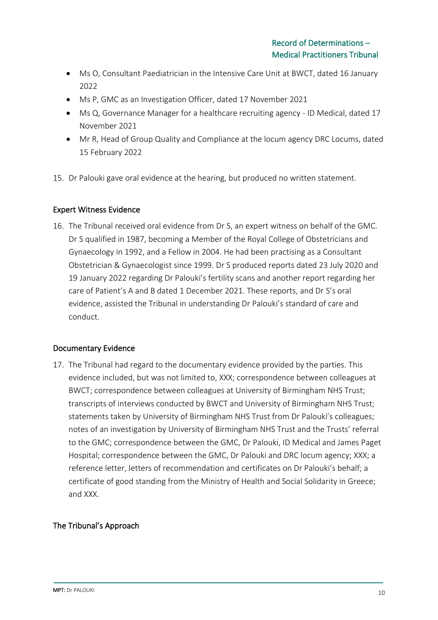- Ms O, Consultant Paediatrician in the Intensive Care Unit at BWCT, dated 16 January 2022
- Ms P, GMC as an Investigation Officer, dated 17 November 2021
- Ms Q, Governance Manager for a healthcare recruiting agency ID Medical, dated 17 November 2021
- Mr R, Head of Group Quality and Compliance at the locum agency DRC Locums, dated 15 February 2022
- 15. Dr Palouki gave oral evidence at the hearing, but produced no written statement.

## Expert Witness Evidence

16. The Tribunal received oral evidence from Dr S, an expert witness on behalf of the GMC. Dr S qualified in 1987, becoming a Member of the Royal College of Obstetricians and Gynaecology in 1992, and a Fellow in 2004. He had been practising as a Consultant Obstetrician & Gynaecologist since 1999. Dr S produced reports dated 23 July 2020 and 19 January 2022 regarding Dr Palouki's fertility scans and another report regarding her care of Patient's A and B dated 1 December 2021. These reports, and Dr S's oral evidence, assisted the Tribunal in understanding Dr Palouki's standard of care and conduct.

## Documentary Evidence

17. The Tribunal had regard to the documentary evidence provided by the parties. This evidence included, but was not limited to, XXX; correspondence between colleagues at BWCT; correspondence between colleagues at University of Birmingham NHS Trust; transcripts of interviews conducted by BWCT and University of Birmingham NHS Trust; statements taken by University of Birmingham NHS Trust from Dr Palouki's colleagues; notes of an investigation by University of Birmingham NHS Trust and the Trusts' referral to the GMC; correspondence between the GMC, Dr Palouki, ID Medical and James Paget Hospital; correspondence between the GMC, Dr Palouki and DRC locum agency; XXX; a reference letter, letters of recommendation and certificates on Dr Palouki's behalf; a certificate of good standing from the Ministry of Health and Social Solidarity in Greece; and XXX.

## The Tribunal's Approach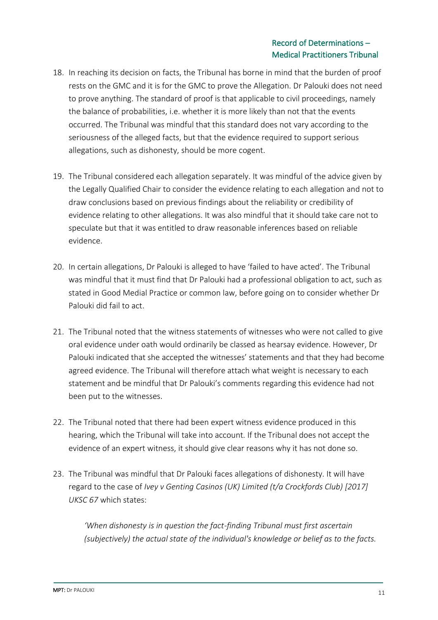- 18. In reaching its decision on facts, the Tribunal has borne in mind that the burden of proof rests on the GMC and it is for the GMC to prove the Allegation. Dr Palouki does not need to prove anything. The standard of proof is that applicable to civil proceedings, namely the balance of probabilities, i.e. whether it is more likely than not that the events occurred. The Tribunal was mindful that this standard does not vary according to the seriousness of the alleged facts, but that the evidence required to support serious allegations, such as dishonesty, should be more cogent.
- 19. The Tribunal considered each allegation separately. It was mindful of the advice given by the Legally Qualified Chair to consider the evidence relating to each allegation and not to draw conclusions based on previous findings about the reliability or credibility of evidence relating to other allegations. It was also mindful that it should take care not to speculate but that it was entitled to draw reasonable inferences based on reliable evidence.
- 20. In certain allegations, Dr Palouki is alleged to have 'failed to have acted'. The Tribunal was mindful that it must find that Dr Palouki had a professional obligation to act, such as stated in Good Medial Practice or common law, before going on to consider whether Dr Palouki did fail to act.
- 21. The Tribunal noted that the witness statements of witnesses who were not called to give oral evidence under oath would ordinarily be classed as hearsay evidence. However, Dr Palouki indicated that she accepted the witnesses' statements and that they had become agreed evidence. The Tribunal will therefore attach what weight is necessary to each statement and be mindful that Dr Palouki's comments regarding this evidence had not been put to the witnesses.
- 22. The Tribunal noted that there had been expert witness evidence produced in this hearing, which the Tribunal will take into account. If the Tribunal does not accept the evidence of an expert witness, it should give clear reasons why it has not done so.
- 23. The Tribunal was mindful that Dr Palouki faces allegations of dishonesty. It will have regard to the case of *Ivey v Genting Casinos (UK) Limited (t/a Crockfords Club) [2017] UKSC 67* which states:

*'When dishonesty is in question the fact-finding Tribunal must first ascertain (subjectively) the actual state of the individual's knowledge or belief as to the facts.*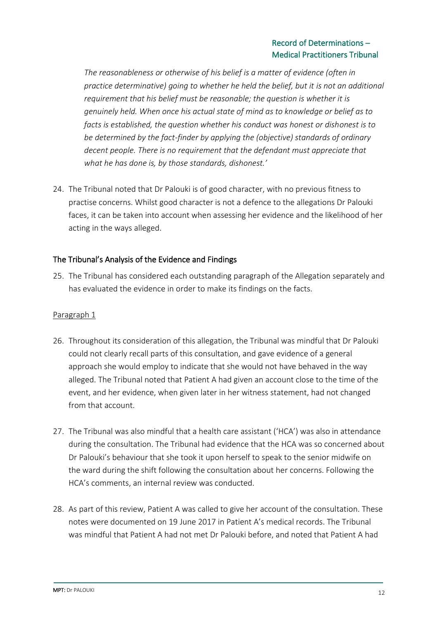## Record of Determinations – Medical Practitioners Tribunal

*The reasonableness or otherwise of his belief is a matter of evidence (often in practice determinative) going to whether he held the belief, but it is not an additional requirement that his belief must be reasonable; the question is whether it is genuinely held. When once his actual state of mind as to knowledge or belief as to facts is established, the question whether his conduct was honest or dishonest is to be determined by the fact-finder by applying the (objective) standards of ordinary decent people. There is no requirement that the defendant must appreciate that what he has done is, by those standards, dishonest.'*

24. The Tribunal noted that Dr Palouki is of good character, with no previous fitness to practise concerns. Whilst good character is not a defence to the allegations Dr Palouki faces, it can be taken into account when assessing her evidence and the likelihood of her acting in the ways alleged.

## The Tribunal's Analysis of the Evidence and Findings

25. The Tribunal has considered each outstanding paragraph of the Allegation separately and has evaluated the evidence in order to make its findings on the facts.

## Paragraph 1

- 26. Throughout its consideration of this allegation, the Tribunal was mindful that Dr Palouki could not clearly recall parts of this consultation, and gave evidence of a general approach she would employ to indicate that she would not have behaved in the way alleged. The Tribunal noted that Patient A had given an account close to the time of the event, and her evidence, when given later in her witness statement, had not changed from that account.
- 27. The Tribunal was also mindful that a health care assistant ('HCA') was also in attendance during the consultation. The Tribunal had evidence that the HCA was so concerned about Dr Palouki's behaviour that she took it upon herself to speak to the senior midwife on the ward during the shift following the consultation about her concerns. Following the HCA's comments, an internal review was conducted.
- 28. As part of this review, Patient A was called to give her account of the consultation. These notes were documented on 19 June 2017 in Patient A's medical records. The Tribunal was mindful that Patient A had not met Dr Palouki before, and noted that Patient A had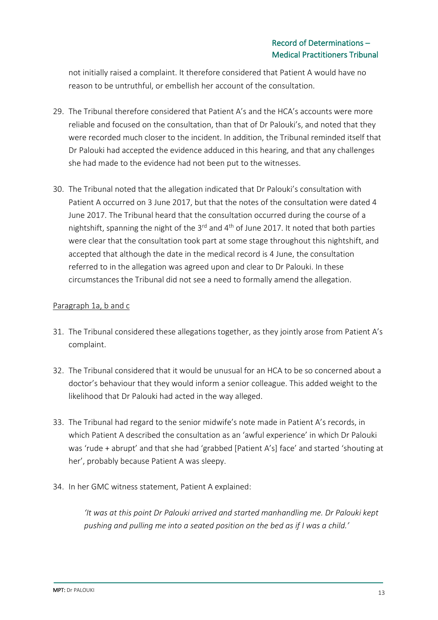not initially raised a complaint. It therefore considered that Patient A would have no reason to be untruthful, or embellish her account of the consultation.

- 29. The Tribunal therefore considered that Patient A's and the HCA's accounts were more reliable and focused on the consultation, than that of Dr Palouki's, and noted that they were recorded much closer to the incident. In addition, the Tribunal reminded itself that Dr Palouki had accepted the evidence adduced in this hearing, and that any challenges she had made to the evidence had not been put to the witnesses.
- 30. The Tribunal noted that the allegation indicated that Dr Palouki's consultation with Patient A occurred on 3 June 2017, but that the notes of the consultation were dated 4 June 2017. The Tribunal heard that the consultation occurred during the course of a nightshift, spanning the night of the  $3^{rd}$  and  $4^{th}$  of June 2017. It noted that both parties were clear that the consultation took part at some stage throughout this nightshift, and accepted that although the date in the medical record is 4 June, the consultation referred to in the allegation was agreed upon and clear to Dr Palouki. In these circumstances the Tribunal did not see a need to formally amend the allegation.

## Paragraph 1a, b and c

- 31. The Tribunal considered these allegations together, as they jointly arose from Patient A's complaint.
- 32. The Tribunal considered that it would be unusual for an HCA to be so concerned about a doctor's behaviour that they would inform a senior colleague. This added weight to the likelihood that Dr Palouki had acted in the way alleged.
- 33. The Tribunal had regard to the senior midwife's note made in Patient A's records, in which Patient A described the consultation as an 'awful experience' in which Dr Palouki was 'rude + abrupt' and that she had 'grabbed [Patient A's] face' and started 'shouting at her', probably because Patient A was sleepy.
- 34. In her GMC witness statement, Patient A explained:

*'It was at this point Dr Palouki arrived and started manhandling me. Dr Palouki kept pushing and pulling me into a seated position on the bed as if I was a child.'*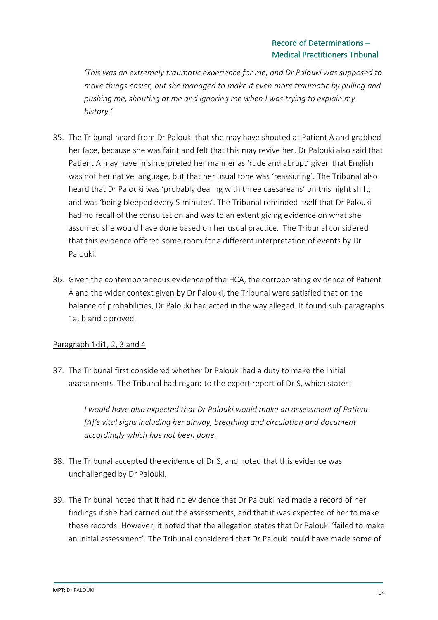*'This was an extremely traumatic experience for me, and Dr Palouki was supposed to make things easier, but she managed to make it even more traumatic by pulling and pushing me, shouting at me and ignoring me when I was trying to explain my history.'*

- 35. The Tribunal heard from Dr Palouki that she may have shouted at Patient A and grabbed her face, because she was faint and felt that this may revive her. Dr Palouki also said that Patient A may have misinterpreted her manner as 'rude and abrupt' given that English was not her native language, but that her usual tone was 'reassuring'. The Tribunal also heard that Dr Palouki was 'probably dealing with three caesareans' on this night shift, and was 'being bleeped every 5 minutes'. The Tribunal reminded itself that Dr Palouki had no recall of the consultation and was to an extent giving evidence on what she assumed she would have done based on her usual practice. The Tribunal considered that this evidence offered some room for a different interpretation of events by Dr Palouki.
- 36. Given the contemporaneous evidence of the HCA, the corroborating evidence of Patient A and the wider context given by Dr Palouki, the Tribunal were satisfied that on the balance of probabilities, Dr Palouki had acted in the way alleged. It found sub-paragraphs 1a, b and c proved.

## Paragraph 1di1, 2, 3 and 4

37. The Tribunal first considered whether Dr Palouki had a duty to make the initial assessments. The Tribunal had regard to the expert report of Dr S, which states:

> *I would have also expected that Dr Palouki would make an assessment of Patient [A]'s vital signs including her airway, breathing and circulation and document accordingly which has not been done.*

- 38. The Tribunal accepted the evidence of Dr S, and noted that this evidence was unchallenged by Dr Palouki.
- 39. The Tribunal noted that it had no evidence that Dr Palouki had made a record of her findings if she had carried out the assessments, and that it was expected of her to make these records. However, it noted that the allegation states that Dr Palouki 'failed to make an initial assessment'. The Tribunal considered that Dr Palouki could have made some of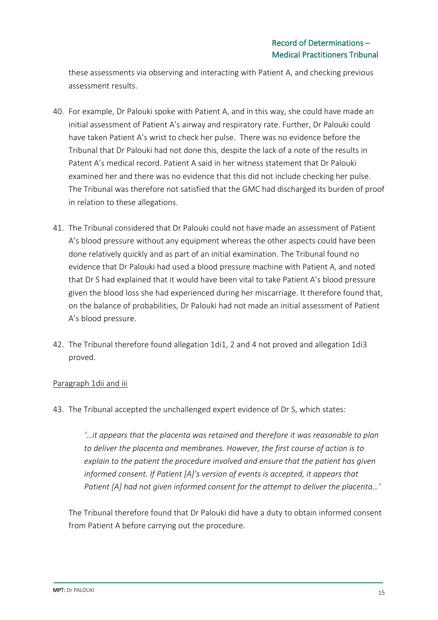these assessments via observing and interacting with Patient A, and checking previous assessment results.

- 40. For example, Dr Palouki spoke with Patient A, and in this way, she could have made an initial assessment of Patient A's airway and respiratory rate. Further, Dr Palouki could have taken Patient A's wrist to check her pulse. There was no evidence before the Tribunal that Dr Palouki had not done this, despite the lack of a note of the results in Patent A's medical record. Patient A said in her witness statement that Dr Palouki examined her and there was no evidence that this did not include checking her pulse. The Tribunal was therefore not satisfied that the GMC had discharged its burden of proof in relation to these allegations.
- 41. The Tribunal considered that Dr Palouki could not have made an assessment of Patient A's blood pressure without any equipment whereas the other aspects could have been done relatively quickly and as part of an initial examination. The Tribunal found no evidence that Dr Palouki had used a blood pressure machine with Patient A, and noted that Dr S had explained that it would have been vital to take Patient A's blood pressure given the blood loss she had experienced during her miscarriage. It therefore found that, on the balance of probabilities, Dr Palouki had not made an initial assessment of Patient A's blood pressure.
- 42. The Tribunal therefore found allegation 1di1, 2 and 4 not proved and allegation 1di3 proved.

## Paragraph 1dii and iii

43. The Tribunal accepted the unchallenged expert evidence of Dr S, which states:

*'…it appears that the placenta was retained and therefore it was reasonable to plan to deliver the placenta and membranes. However, the first course of action is to explain to the patient the procedure involved and ensure that the patient has given informed consent. If Patient [A]'s version of events is accepted, it appears that Patient [A] had not given informed consent for the attempt to deliver the placenta…'*

The Tribunal therefore found that Dr Palouki did have a duty to obtain informed consent from Patient A before carrying out the procedure.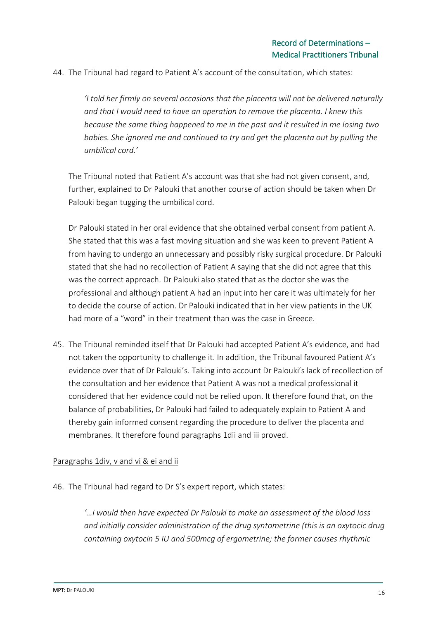44. The Tribunal had regard to Patient A's account of the consultation, which states:

*'I told her firmly on several occasions that the placenta will not be delivered naturally and that I would need to have an operation to remove the placenta. I knew this because the same thing happened to me in the past and it resulted in me losing two babies. She ignored me and continued to try and get the placenta out by pulling the umbilical cord.'* 

The Tribunal noted that Patient A's account was that she had not given consent, and, further, explained to Dr Palouki that another course of action should be taken when Dr Palouki began tugging the umbilical cord.

Dr Palouki stated in her oral evidence that she obtained verbal consent from patient A. She stated that this was a fast moving situation and she was keen to prevent Patient A from having to undergo an unnecessary and possibly risky surgical procedure. Dr Palouki stated that she had no recollection of Patient A saying that she did not agree that this was the correct approach. Dr Palouki also stated that as the doctor she was the professional and although patient A had an input into her care it was ultimately for her to decide the course of action. Dr Palouki indicated that in her view patients in the UK had more of a "word" in their treatment than was the case in Greece.

45. The Tribunal reminded itself that Dr Palouki had accepted Patient A's evidence, and had not taken the opportunity to challenge it. In addition, the Tribunal favoured Patient A's evidence over that of Dr Palouki's. Taking into account Dr Palouki's lack of recollection of the consultation and her evidence that Patient A was not a medical professional it considered that her evidence could not be relied upon. It therefore found that, on the balance of probabilities, Dr Palouki had failed to adequately explain to Patient A and thereby gain informed consent regarding the procedure to deliver the placenta and membranes. It therefore found paragraphs 1dii and iii proved.

### Paragraphs 1div, v and vi & ei and ii

46. The Tribunal had regard to Dr S's expert report, which states:

*'…I would then have expected Dr Palouki to make an assessment of the blood loss and initially consider administration of the drug syntometrine (this is an oxytocic drug containing oxytocin 5 IU and 500mcg of ergometrine; the former causes rhythmic*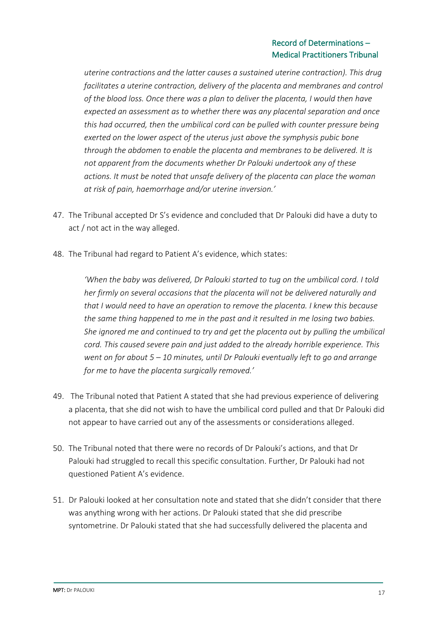## Record of Determinations – Medical Practitioners Tribunal

*uterine contractions and the latter causes a sustained uterine contraction). This drug*  facilitates a uterine contraction, delivery of the placenta and membranes and control *of the blood loss. Once there was a plan to deliver the placenta, I would then have expected an assessment as to whether there was any placental separation and once this had occurred, then the umbilical cord can be pulled with counter pressure being exerted on the lower aspect of the uterus just above the symphysis pubic bone through the abdomen to enable the placenta and membranes to be delivered. It is not apparent from the documents whether Dr Palouki undertook any of these actions. It must be noted that unsafe delivery of the placenta can place the woman at risk of pain, haemorrhage and/or uterine inversion.'*

- 47. The Tribunal accepted Dr S's evidence and concluded that Dr Palouki did have a duty to act / not act in the way alleged.
- 48. The Tribunal had regard to Patient A's evidence, which states:

*'When the baby was delivered, Dr Palouki started to tug on the umbilical cord. I told her firmly on several occasions that the placenta will not be delivered naturally and that I would need to have an operation to remove the placenta. I knew this because the same thing happened to me in the past and it resulted in me losing two babies. She ignored me and continued to try and get the placenta out by pulling the umbilical cord. This caused severe pain and just added to the already horrible experience. This went on for about 5 – 10 minutes, until Dr Palouki eventually left to go and arrange for me to have the placenta surgically removed.'*

- 49. The Tribunal noted that Patient A stated that she had previous experience of delivering a placenta, that she did not wish to have the umbilical cord pulled and that Dr Palouki did not appear to have carried out any of the assessments or considerations alleged.
- 50. The Tribunal noted that there were no records of Dr Palouki's actions, and that Dr Palouki had struggled to recall this specific consultation. Further, Dr Palouki had not questioned Patient A's evidence.
- 51. Dr Palouki looked at her consultation note and stated that she didn't consider that there was anything wrong with her actions. Dr Palouki stated that she did prescribe syntometrine. Dr Palouki stated that she had successfully delivered the placenta and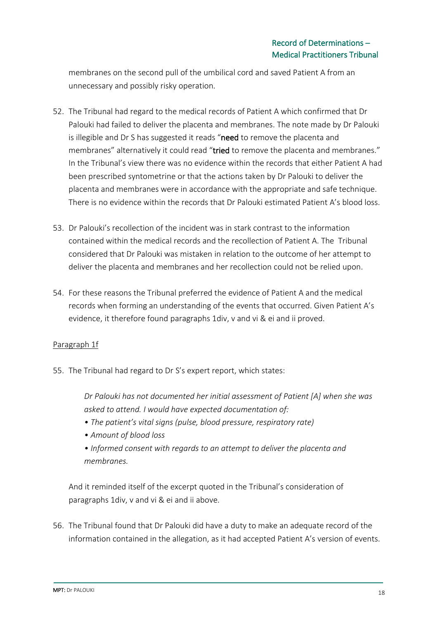membranes on the second pull of the umbilical cord and saved Patient A from an unnecessary and possibly risky operation.

- 52. The Tribunal had regard to the medical records of Patient A which confirmed that Dr Palouki had failed to deliver the placenta and membranes. The note made by Dr Palouki is illegible and Dr S has suggested it reads "need to remove the placenta and membranes" alternatively it could read "tried to remove the placenta and membranes." In the Tribunal's view there was no evidence within the records that either Patient A had been prescribed syntometrine or that the actions taken by Dr Palouki to deliver the placenta and membranes were in accordance with the appropriate and safe technique. There is no evidence within the records that Dr Palouki estimated Patient A's blood loss.
- 53. Dr Palouki's recollection of the incident was in stark contrast to the information contained within the medical records and the recollection of Patient A. The Tribunal considered that Dr Palouki was mistaken in relation to the outcome of her attempt to deliver the placenta and membranes and her recollection could not be relied upon.
- 54. For these reasons the Tribunal preferred the evidence of Patient A and the medical records when forming an understanding of the events that occurred. Given Patient A's evidence, it therefore found paragraphs 1div, v and vi & ei and ii proved.

## Paragraph 1f

55. The Tribunal had regard to Dr S's expert report, which states:

*Dr Palouki has not documented her initial assessment of Patient [A] when she was asked to attend. I would have expected documentation of:* 

- *The patient's vital signs (pulse, blood pressure, respiratory rate)*
- *Amount of blood loss*
- *Informed consent with regards to an attempt to deliver the placenta and membranes.*

And it reminded itself of the excerpt quoted in the Tribunal's consideration of paragraphs 1div, v and vi & ei and ii above.

56. The Tribunal found that Dr Palouki did have a duty to make an adequate record of the information contained in the allegation, as it had accepted Patient A's version of events.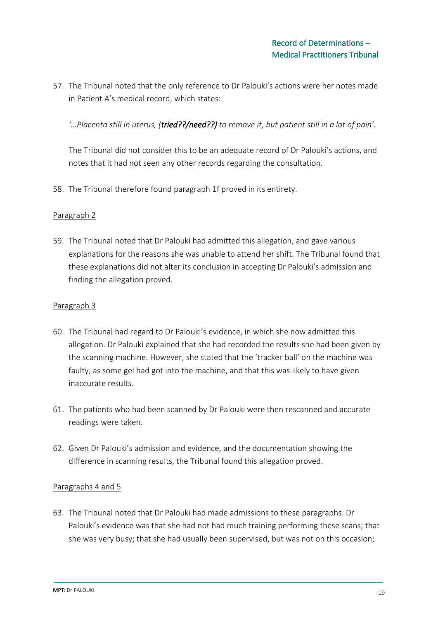57. The Tribunal noted that the only reference to Dr Palouki's actions were her notes made in Patient A's medical record, which states:

*'…Placenta still in uterus, (tried??/need??) to remove it, but patient still in a lot of pain'.*

The Tribunal did not consider this to be an adequate record of Dr Palouki's actions, and notes that it had not seen any other records regarding the consultation.

58. The Tribunal therefore found paragraph 1f proved in its entirety.

### Paragraph 2

59. The Tribunal noted that Dr Palouki had admitted this allegation, and gave various explanations for the reasons she was unable to attend her shift. The Tribunal found that these explanations did not alter its conclusion in accepting Dr Palouki's admission and finding the allegation proved.

### Paragraph 3

- 60. The Tribunal had regard to Dr Palouki's evidence, in which she now admitted this allegation. Dr Palouki explained that she had recorded the results she had been given by the scanning machine. However, she stated that the 'tracker ball' on the machine was faulty, as some gel had got into the machine, and that this was likely to have given inaccurate results.
- 61. The patients who had been scanned by Dr Palouki were then rescanned and accurate readings were taken.
- 62. Given Dr Palouki's admission and evidence, and the documentation showing the difference in scanning results, the Tribunal found this allegation proved.

## Paragraphs 4 and 5

63. The Tribunal noted that Dr Palouki had made admissions to these paragraphs. Dr Palouki's evidence was that she had not had much training performing these scans; that she was very busy; that she had usually been supervised, but was not on this occasion;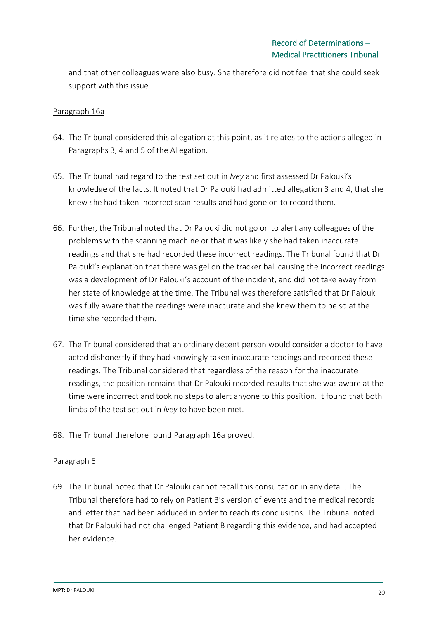and that other colleagues were also busy. She therefore did not feel that she could seek support with this issue.

## Paragraph 16a

- 64. The Tribunal considered this allegation at this point, as it relates to the actions alleged in Paragraphs 3, 4 and 5 of the Allegation.
- 65. The Tribunal had regard to the test set out in *Ivey* and first assessed Dr Palouki's knowledge of the facts. It noted that Dr Palouki had admitted allegation 3 and 4, that she knew she had taken incorrect scan results and had gone on to record them.
- 66. Further, the Tribunal noted that Dr Palouki did not go on to alert any colleagues of the problems with the scanning machine or that it was likely she had taken inaccurate readings and that she had recorded these incorrect readings. The Tribunal found that Dr Palouki's explanation that there was gel on the tracker ball causing the incorrect readings was a development of Dr Palouki's account of the incident, and did not take away from her state of knowledge at the time. The Tribunal was therefore satisfied that Dr Palouki was fully aware that the readings were inaccurate and she knew them to be so at the time she recorded them.
- 67. The Tribunal considered that an ordinary decent person would consider a doctor to have acted dishonestly if they had knowingly taken inaccurate readings and recorded these readings. The Tribunal considered that regardless of the reason for the inaccurate readings, the position remains that Dr Palouki recorded results that she was aware at the time were incorrect and took no steps to alert anyone to this position. It found that both limbs of the test set out in *Ivey* to have been met.
- 68. The Tribunal therefore found Paragraph 16a proved.

### Paragraph 6

69. The Tribunal noted that Dr Palouki cannot recall this consultation in any detail. The Tribunal therefore had to rely on Patient B's version of events and the medical records and letter that had been adduced in order to reach its conclusions. The Tribunal noted that Dr Palouki had not challenged Patient B regarding this evidence, and had accepted her evidence.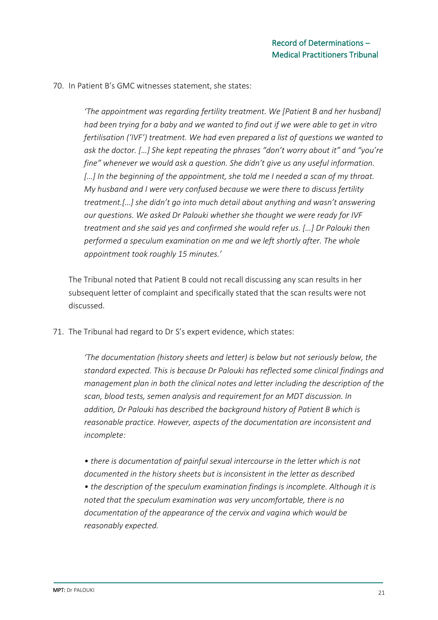70. In Patient B's GMC witnesses statement, she states:

*'The appointment was regarding fertility treatment. We [Patient B and her husband] had been trying for a baby and we wanted to find out if we were able to get in vitro fertilisation ('IVF') treatment. We had even prepared a list of questions we wanted to ask the doctor. […] She kept repeating the phrases "don't worry about it" and "you're fine" whenever we would ask a question. She didn't give us any useful information. […] In the beginning of the appointment, she told me I needed a scan of my throat. My husband and I were very confused because we were there to discuss fertility treatment.[…] she didn't go into much detail about anything and wasn't answering our questions. We asked Dr Palouki whether she thought we were ready for IVF treatment and she said yes and confirmed she would refer us. […] Dr Palouki then performed a speculum examination on me and we left shortly after. The whole appointment took roughly 15 minutes.'* 

The Tribunal noted that Patient B could not recall discussing any scan results in her subsequent letter of complaint and specifically stated that the scan results were not discussed.

71. The Tribunal had regard to Dr S's expert evidence, which states:

*'The documentation (history sheets and letter) is below but not seriously below, the standard expected. This is because Dr Palouki has reflected some clinical findings and management plan in both the clinical notes and letter including the description of the scan, blood tests, semen analysis and requirement for an MDT discussion. In addition, Dr Palouki has described the background history of Patient B which is reasonable practice. However, aspects of the documentation are inconsistent and incomplete:* 

*• there is documentation of painful sexual intercourse in the letter which is not documented in the history sheets but is inconsistent in the letter as described • the description of the speculum examination findings is incomplete. Although it is noted that the speculum examination was very uncomfortable, there is no documentation of the appearance of the cervix and vagina which would be reasonably expected.*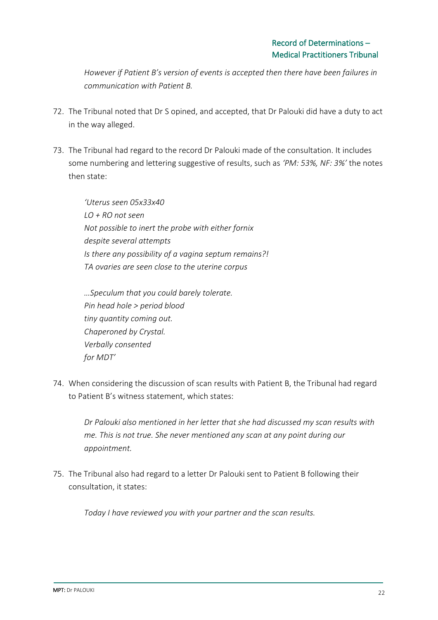*However if Patient B's version of events is accepted then there have been failures in communication with Patient B.*

- 72. The Tribunal noted that Dr S opined, and accepted, that Dr Palouki did have a duty to act in the way alleged.
- 73. The Tribunal had regard to the record Dr Palouki made of the consultation. It includes some numbering and lettering suggestive of results, such as *'PM: 53%, NF: 3%'* the notes then state:

*'Uterus seen 05x33x40 LO + RO not seen Not possible to inert the probe with either fornix despite several attempts Is there any possibility of a vagina septum remains?! TA ovaries are seen close to the uterine corpus*

*…Speculum that you could barely tolerate. Pin head hole > period blood tiny quantity coming out. Chaperoned by Crystal. Verbally consented for MDT'* 

74. When considering the discussion of scan results with Patient B, the Tribunal had regard to Patient B's witness statement, which states:

*Dr Palouki also mentioned in her letter that she had discussed my scan results with me. This is not true. She never mentioned any scan at any point during our appointment.* 

75. The Tribunal also had regard to a letter Dr Palouki sent to Patient B following their consultation, it states:

*Today I have reviewed you with your partner and the scan results.*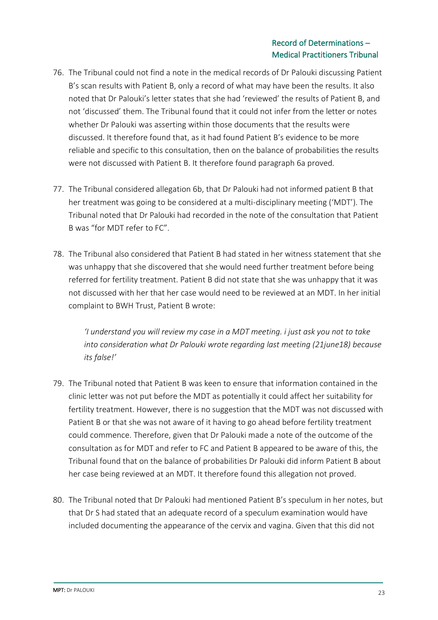- 76. The Tribunal could not find a note in the medical records of Dr Palouki discussing Patient B's scan results with Patient B, only a record of what may have been the results. It also noted that Dr Palouki's letter states that she had 'reviewed' the results of Patient B, and not 'discussed' them. The Tribunal found that it could not infer from the letter or notes whether Dr Palouki was asserting within those documents that the results were discussed. It therefore found that, as it had found Patient B's evidence to be more reliable and specific to this consultation, then on the balance of probabilities the results were not discussed with Patient B. It therefore found paragraph 6a proved.
- 77. The Tribunal considered allegation 6b, that Dr Palouki had not informed patient B that her treatment was going to be considered at a multi-disciplinary meeting ('MDT'). The Tribunal noted that Dr Palouki had recorded in the note of the consultation that Patient B was "for MDT refer to FC".
- 78. The Tribunal also considered that Patient B had stated in her witness statement that she was unhappy that she discovered that she would need further treatment before being referred for fertility treatment. Patient B did not state that she was unhappy that it was not discussed with her that her case would need to be reviewed at an MDT. In her initial complaint to BWH Trust, Patient B wrote:

*'I understand you will review my case in a MDT meeting. i just ask you not to take into consideration what Dr Palouki wrote regarding last meeting (21june18) because its false!'* 

- 79. The Tribunal noted that Patient B was keen to ensure that information contained in the clinic letter was not put before the MDT as potentially it could affect her suitability for fertility treatment. However, there is no suggestion that the MDT was not discussed with Patient B or that she was not aware of it having to go ahead before fertility treatment could commence. Therefore, given that Dr Palouki made a note of the outcome of the consultation as for MDT and refer to FC and Patient B appeared to be aware of this, the Tribunal found that on the balance of probabilities Dr Palouki did inform Patient B about her case being reviewed at an MDT. It therefore found this allegation not proved.
- 80. The Tribunal noted that Dr Palouki had mentioned Patient B's speculum in her notes, but that Dr S had stated that an adequate record of a speculum examination would have included documenting the appearance of the cervix and vagina. Given that this did not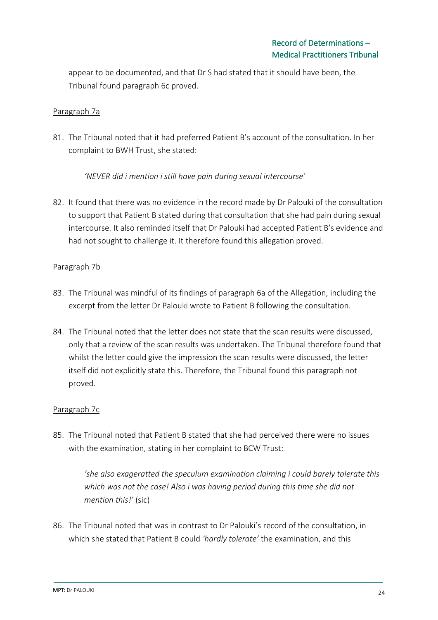appear to be documented, and that Dr S had stated that it should have been, the Tribunal found paragraph 6c proved.

## Paragraph 7a

81. The Tribunal noted that it had preferred Patient B's account of the consultation. In her complaint to BWH Trust, she stated:

*'NEVER did i mention i still have pain during sexual intercourse'* 

82. It found that there was no evidence in the record made by Dr Palouki of the consultation to support that Patient B stated during that consultation that she had pain during sexual intercourse. It also reminded itself that Dr Palouki had accepted Patient B's evidence and had not sought to challenge it. It therefore found this allegation proved.

## Paragraph 7b

- 83. The Tribunal was mindful of its findings of paragraph 6a of the Allegation, including the excerpt from the letter Dr Palouki wrote to Patient B following the consultation.
- 84. The Tribunal noted that the letter does not state that the scan results were discussed, only that a review of the scan results was undertaken. The Tribunal therefore found that whilst the letter could give the impression the scan results were discussed, the letter itself did not explicitly state this. Therefore, the Tribunal found this paragraph not proved.

## Paragraph 7c

85. The Tribunal noted that Patient B stated that she had perceived there were no issues with the examination, stating in her complaint to BCW Trust:

*'she also exageratted the speculum examination claiming i could barely tolerate this which was not the case! Also i was having period during this time she did not mention this!'* (sic)

86. The Tribunal noted that was in contrast to Dr Palouki's record of the consultation, in which she stated that Patient B could *'hardly tolerate'* the examination, and this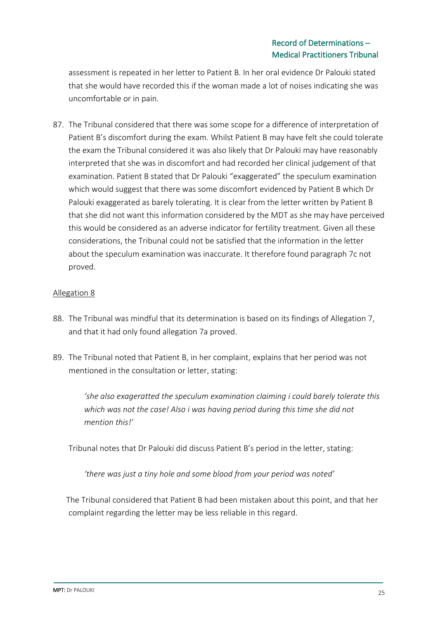assessment is repeated in her letter to Patient B. In her oral evidence Dr Palouki stated that she would have recorded this if the woman made a lot of noises indicating she was uncomfortable or in pain.

87. The Tribunal considered that there was some scope for a difference of interpretation of Patient B's discomfort during the exam. Whilst Patient B may have felt she could tolerate the exam the Tribunal considered it was also likely that Dr Palouki may have reasonably interpreted that she was in discomfort and had recorded her clinical judgement of that examination. Patient B stated that Dr Palouki "exaggerated" the speculum examination which would suggest that there was some discomfort evidenced by Patient B which Dr Palouki exaggerated as barely tolerating. It is clear from the letter written by Patient B that she did not want this information considered by the MDT as she may have perceived this would be considered as an adverse indicator for fertility treatment. Given all these considerations, the Tribunal could not be satisfied that the information in the letter about the speculum examination was inaccurate. It therefore found paragraph 7c not proved.

## Allegation 8

- 88. The Tribunal was mindful that its determination is based on its findings of Allegation 7, and that it had only found allegation 7a proved.
- 89. The Tribunal noted that Patient B, in her complaint, explains that her period was not mentioned in the consultation or letter, stating:

*'she also exageratted the speculum examination claiming i could barely tolerate this which was not the case! Also i was having period during this time she did not mention this!'* 

Tribunal notes that Dr Palouki did discuss Patient B's period in the letter, stating:

*'there was just a tiny hole and some blood from your period was noted'*

The Tribunal considered that Patient B had been mistaken about this point, and that her complaint regarding the letter may be less reliable in this regard.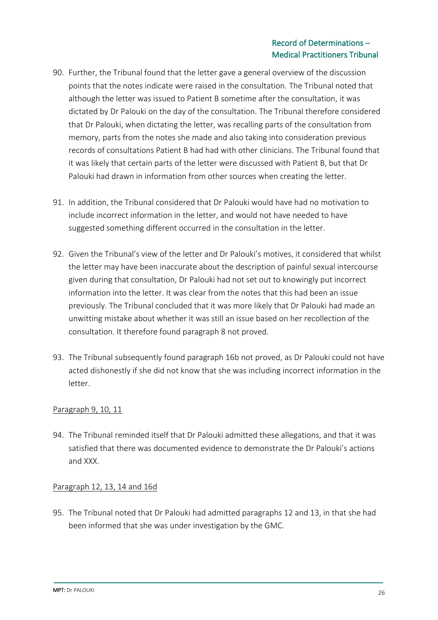- 90. Further, the Tribunal found that the letter gave a general overview of the discussion points that the notes indicate were raised in the consultation. The Tribunal noted that although the letter was issued to Patient B sometime after the consultation, it was dictated by Dr Palouki on the day of the consultation. The Tribunal therefore considered that Dr Palouki, when dictating the letter, was recalling parts of the consultation from memory, parts from the notes she made and also taking into consideration previous records of consultations Patient B had had with other clinicians. The Tribunal found that it was likely that certain parts of the letter were discussed with Patient B, but that Dr Palouki had drawn in information from other sources when creating the letter.
- 91. In addition, the Tribunal considered that Dr Palouki would have had no motivation to include incorrect information in the letter, and would not have needed to have suggested something different occurred in the consultation in the letter.
- 92. Given the Tribunal's view of the letter and Dr Palouki's motives, it considered that whilst the letter may have been inaccurate about the description of painful sexual intercourse given during that consultation, Dr Palouki had not set out to knowingly put incorrect information into the letter. It was clear from the notes that this had been an issue previously. The Tribunal concluded that it was more likely that Dr Palouki had made an unwitting mistake about whether it was still an issue based on her recollection of the consultation. It therefore found paragraph 8 not proved.
- 93. The Tribunal subsequently found paragraph 16b not proved, as Dr Palouki could not have acted dishonestly if she did not know that she was including incorrect information in the letter.

## Paragraph 9, 10, 11

94. The Tribunal reminded itself that Dr Palouki admitted these allegations, and that it was satisfied that there was documented evidence to demonstrate the Dr Palouki's actions and XXX.

## Paragraph 12, 13, 14 and 16d

95. The Tribunal noted that Dr Palouki had admitted paragraphs 12 and 13, in that she had been informed that she was under investigation by the GMC.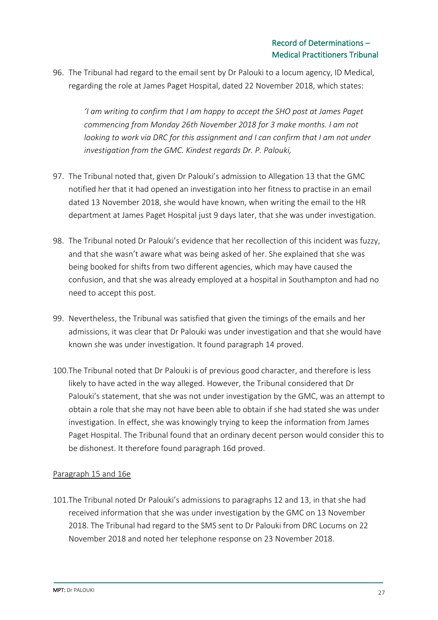96. The Tribunal had regard to the email sent by Dr Palouki to a locum agency, ID Medical, regarding the role at James Paget Hospital, dated 22 November 2018, which states:

*'I am writing to confirm that I am happy to accept the SHO post at James Paget commencing from Monday 26th November 2018 for 3 make months. I am not looking to work via DRC for this assignment and I can confirm that I am not under investigation from the GMC. Kindest regards Dr. P. Palouki,* 

- 97. The Tribunal noted that, given Dr Palouki's admission to Allegation 13 that the GMC notified her that it had opened an investigation into her fitness to practise in an email dated 13 November 2018, she would have known, when writing the email to the HR department at James Paget Hospital just 9 days later, that she was under investigation.
- 98. The Tribunal noted Dr Palouki's evidence that her recollection of this incident was fuzzy, and that she wasn't aware what was being asked of her. She explained that she was being booked for shifts from two different agencies, which may have caused the confusion, and that she was already employed at a hospital in Southampton and had no need to accept this post.
- 99. Nevertheless, the Tribunal was satisfied that given the timings of the emails and her admissions, it was clear that Dr Palouki was under investigation and that she would have known she was under investigation. It found paragraph 14 proved.
- 100.The Tribunal noted that Dr Palouki is of previous good character, and therefore is less likely to have acted in the way alleged. However, the Tribunal considered that Dr Palouki's statement, that she was not under investigation by the GMC, was an attempt to obtain a role that she may not have been able to obtain if she had stated she was under investigation. In effect, she was knowingly trying to keep the information from James Paget Hospital. The Tribunal found that an ordinary decent person would consider this to be dishonest. It therefore found paragraph 16d proved.

## Paragraph 15 and 16e

101.The Tribunal noted Dr Palouki's admissions to paragraphs 12 and 13, in that she had received information that she was under investigation by the GMC on 13 November 2018. The Tribunal had regard to the SMS sent to Dr Palouki from DRC Locums on 22 November 2018 and noted her telephone response on 23 November 2018.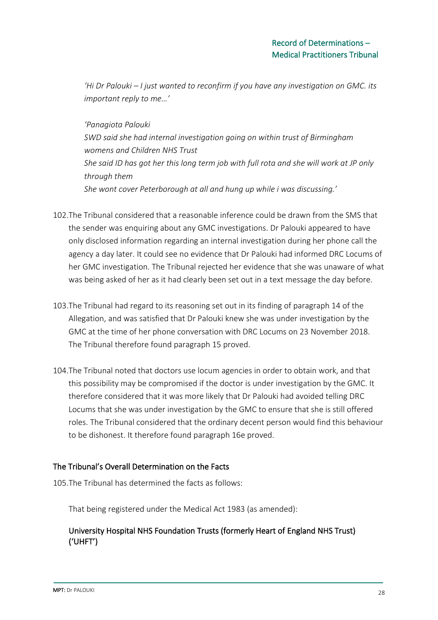*'Hi Dr Palouki – I just wanted to reconfirm if you have any investigation on GMC. its important reply to me…'* 

*'Panagiota Palouki SWD said she had internal investigation going on within trust of Birmingham womens and Children NHS Trust She said ID has got her this long term job with full rota and she will work at JP only through them She wont cover Peterborough at all and hung up while i was discussing.'*

- 102.The Tribunal considered that a reasonable inference could be drawn from the SMS that the sender was enquiring about any GMC investigations. Dr Palouki appeared to have only disclosed information regarding an internal investigation during her phone call the agency a day later. It could see no evidence that Dr Palouki had informed DRC Locums of her GMC investigation. The Tribunal rejected her evidence that she was unaware of what was being asked of her as it had clearly been set out in a text message the day before.
- 103.The Tribunal had regard to its reasoning set out in its finding of paragraph 14 of the Allegation, and was satisfied that Dr Palouki knew she was under investigation by the GMC at the time of her phone conversation with DRC Locums on 23 November 2018. The Tribunal therefore found paragraph 15 proved.
- 104.The Tribunal noted that doctors use locum agencies in order to obtain work, and that this possibility may be compromised if the doctor is under investigation by the GMC. It therefore considered that it was more likely that Dr Palouki had avoided telling DRC Locums that she was under investigation by the GMC to ensure that she is still offered roles. The Tribunal considered that the ordinary decent person would find this behaviour to be dishonest. It therefore found paragraph 16e proved.

## The Tribunal's Overall Determination on the Facts

105.The Tribunal has determined the facts as follows:

That being registered under the Medical Act 1983 (as amended):

## University Hospital NHS Foundation Trusts (formerly Heart of England NHS Trust) ('UHFT')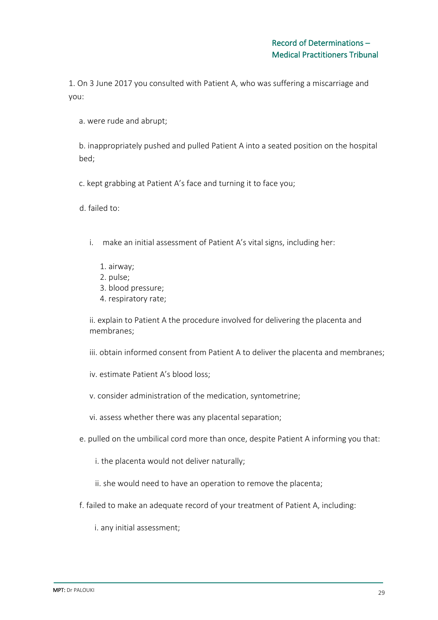1. On 3 June 2017 you consulted with Patient A, who was suffering a miscarriage and you:

a. were rude and abrupt;

b. inappropriately pushed and pulled Patient A into a seated position on the hospital bed;

c. kept grabbing at Patient A's face and turning it to face you;

d. failed to:

- i. make an initial assessment of Patient A's vital signs, including her:
	- 1. airway;
	- 2. pulse;
	- 3. blood pressure;
	- 4. respiratory rate;

ii. explain to Patient A the procedure involved for delivering the placenta and membranes;

iii. obtain informed consent from Patient A to deliver the placenta and membranes;

- iv. estimate Patient A's blood loss;
- v. consider administration of the medication, syntometrine;
- vi. assess whether there was any placental separation;
- e. pulled on the umbilical cord more than once, despite Patient A informing you that:
	- i. the placenta would not deliver naturally;
	- ii. she would need to have an operation to remove the placenta;
- f. failed to make an adequate record of your treatment of Patient A, including:
	- i. any initial assessment;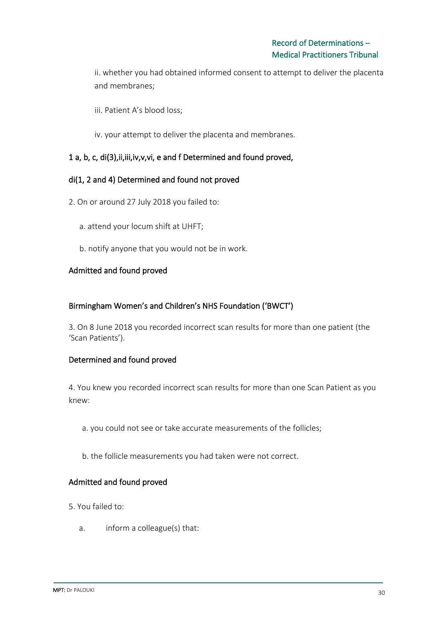ii. whether you had obtained informed consent to attempt to deliver the placenta and membranes;

iii. Patient A's blood loss;

iv. your attempt to deliver the placenta and membranes.

## 1 a, b, c, di(3),ii,iii,iv,v,vi, e and f Determined and found proved,

## di(1, 2 and 4) Determined and found not proved

- 2. On or around 27 July 2018 you failed to:
	- a. attend your locum shift at UHFT;
	- b. notify anyone that you would not be in work.

## Admitted and found proved

## Birmingham Women's and Children's NHS Foundation ('BWCT')

3. On 8 June 2018 you recorded incorrect scan results for more than one patient (the 'Scan Patients').

## Determined and found proved

4. You knew you recorded incorrect scan results for more than one Scan Patient as you knew:

- a. you could not see or take accurate measurements of the follicles;
- b. the follicle measurements you had taken were not correct.

### Admitted and found proved

- 5. You failed to:
	- a. inform a colleague(s) that: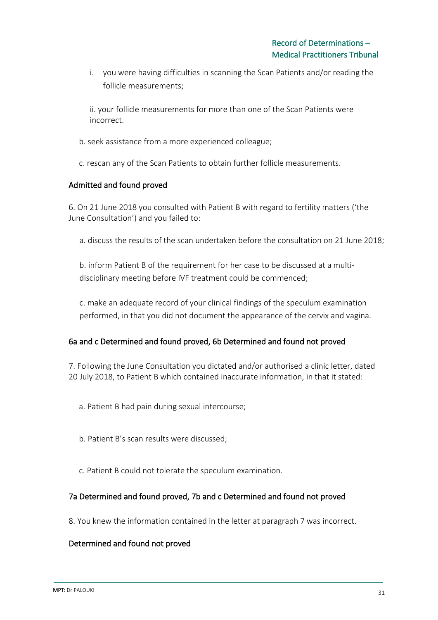i. you were having difficulties in scanning the Scan Patients and/or reading the follicle measurements;

ii. your follicle measurements for more than one of the Scan Patients were incorrect.

- b. seek assistance from a more experienced colleague;
- c. rescan any of the Scan Patients to obtain further follicle measurements.

### Admitted and found proved

6. On 21 June 2018 you consulted with Patient B with regard to fertility matters ('the June Consultation') and you failed to:

a. discuss the results of the scan undertaken before the consultation on 21 June 2018;

b. inform Patient B of the requirement for her case to be discussed at a multidisciplinary meeting before IVF treatment could be commenced;

c. make an adequate record of your clinical findings of the speculum examination performed, in that you did not document the appearance of the cervix and vagina.

## 6a and c Determined and found proved, 6b Determined and found not proved

7. Following the June Consultation you dictated and/or authorised a clinic letter, dated 20 July 2018, to Patient B which contained inaccurate information, in that it stated:

- a. Patient B had pain during sexual intercourse;
- b. Patient B's scan results were discussed;
- c. Patient B could not tolerate the speculum examination.

## 7a Determined and found proved, 7b and c Determined and found not proved

8. You knew the information contained in the letter at paragraph 7 was incorrect.

## Determined and found not proved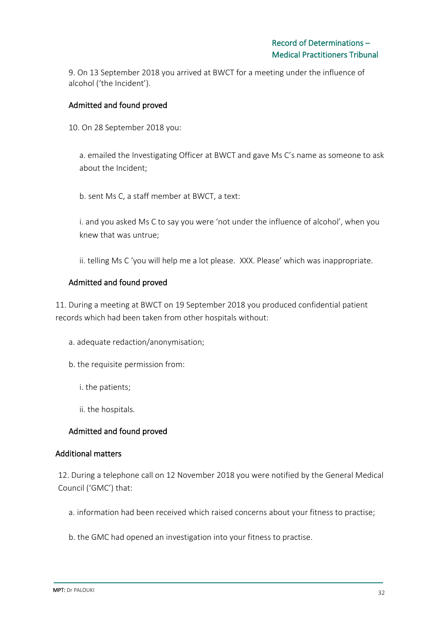9. On 13 September 2018 you arrived at BWCT for a meeting under the influence of alcohol ('the Incident').

## Admitted and found proved

10. On 28 September 2018 you:

a. emailed the Investigating Officer at BWCT and gave Ms C's name as someone to ask about the Incident;

b. sent Ms C, a staff member at BWCT, a text:

i. and you asked Ms C to say you were 'not under the influence of alcohol', when you knew that was untrue;

ii. telling Ms C 'you will help me a lot please. XXX. Please' which was inappropriate.

## Admitted and found proved

11. During a meeting at BWCT on 19 September 2018 you produced confidential patient records which had been taken from other hospitals without:

- a. adequate redaction/anonymisation;
- b. the requisite permission from:
	- i. the patients;
	- ii. the hospitals.

## Admitted and found proved

### Additional matters

12. During a telephone call on 12 November 2018 you were notified by the General Medical Council ('GMC') that:

- a. information had been received which raised concerns about your fitness to practise;
- b. the GMC had opened an investigation into your fitness to practise.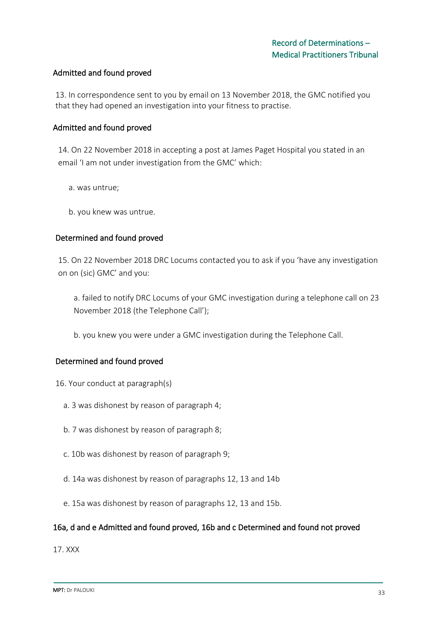### Admitted and found proved

13. In correspondence sent to you by email on 13 November 2018, the GMC notified you that they had opened an investigation into your fitness to practise.

### Admitted and found proved

14. On 22 November 2018 in accepting a post at James Paget Hospital you stated in an email 'I am not under investigation from the GMC' which:

- a. was untrue;
- b. you knew was untrue.

### Determined and found proved

15. On 22 November 2018 DRC Locums contacted you to ask if you 'have any investigation on on (sic) GMC' and you:

a. failed to notify DRC Locums of your GMC investigation during a telephone call on 23 November 2018 (the Telephone Call');

b. you knew you were under a GMC investigation during the Telephone Call.

## Determined and found proved

- 16. Your conduct at paragraph(s)
	- a. 3 was dishonest by reason of paragraph 4;
	- b. 7 was dishonest by reason of paragraph 8;
	- c. 10b was dishonest by reason of paragraph 9;
	- d. 14a was dishonest by reason of paragraphs 12, 13 and 14b
	- e. 15a was dishonest by reason of paragraphs 12, 13 and 15b.

### 16a, d and e Admitted and found proved, 16b and c Determined and found not proved

17. XXX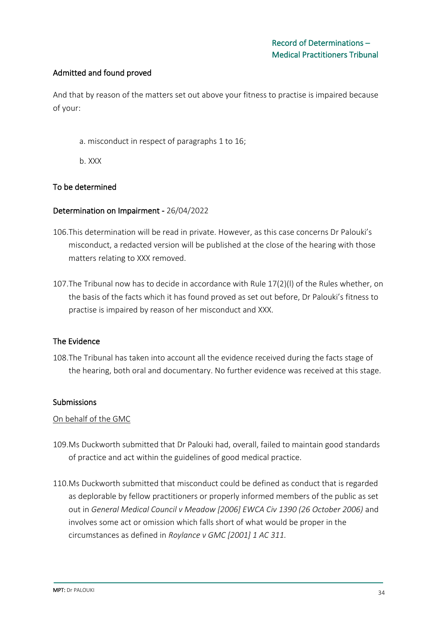## Admitted and found proved

And that by reason of the matters set out above your fitness to practise is impaired because of your:

- a. misconduct in respect of paragraphs 1 to 16;
- b. XXX

## To be determined

### Determination on Impairment - 26/04/2022

- 106.This determination will be read in private. However, as this case concerns Dr Palouki's misconduct, a redacted version will be published at the close of the hearing with those matters relating to XXX removed.
- 107.The Tribunal now has to decide in accordance with Rule 17(2)(l) of the Rules whether, on the basis of the facts which it has found proved as set out before, Dr Palouki's fitness to practise is impaired by reason of her misconduct and XXX.

## The Evidence

108.The Tribunal has taken into account all the evidence received during the facts stage of the hearing, both oral and documentary. No further evidence was received at this stage.

### **Submissions**

### On behalf of the GMC

- 109.Ms Duckworth submitted that Dr Palouki had, overall, failed to maintain good standards of practice and act within the guidelines of good medical practice.
- 110.Ms Duckworth submitted that misconduct could be defined as conduct that is regarded as deplorable by fellow practitioners or properly informed members of the public as set out in *General Medical Council v Meadow [2006] EWCA Civ 1390 (26 October 2006)* and involves some act or omission which falls short of what would be proper in the circumstances as defined in *Roylance v GMC [2001] 1 AC 311.*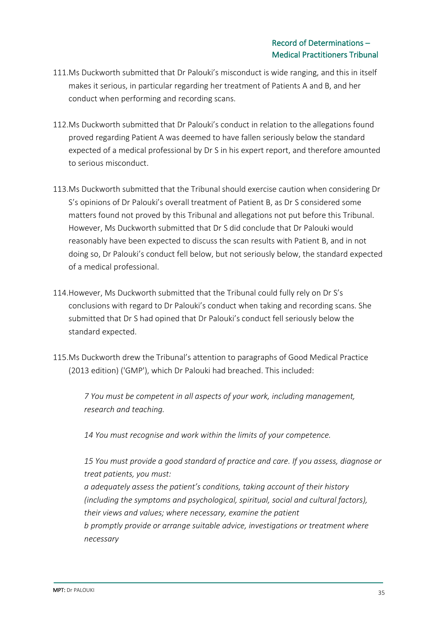- 111.Ms Duckworth submitted that Dr Palouki's misconduct is wide ranging, and this in itself makes it serious, in particular regarding her treatment of Patients A and B, and her conduct when performing and recording scans.
- 112.Ms Duckworth submitted that Dr Palouki's conduct in relation to the allegations found proved regarding Patient A was deemed to have fallen seriously below the standard expected of a medical professional by Dr S in his expert report, and therefore amounted to serious misconduct.
- 113.Ms Duckworth submitted that the Tribunal should exercise caution when considering Dr S's opinions of Dr Palouki's overall treatment of Patient B, as Dr S considered some matters found not proved by this Tribunal and allegations not put before this Tribunal. However, Ms Duckworth submitted that Dr S did conclude that Dr Palouki would reasonably have been expected to discuss the scan results with Patient B, and in not doing so, Dr Palouki's conduct fell below, but not seriously below, the standard expected of a medical professional.
- 114.However, Ms Duckworth submitted that the Tribunal could fully rely on Dr S's conclusions with regard to Dr Palouki's conduct when taking and recording scans. She submitted that Dr S had opined that Dr Palouki's conduct fell seriously below the standard expected.
- 115.Ms Duckworth drew the Tribunal's attention to paragraphs of Good Medical Practice (2013 edition) ('GMP'), which Dr Palouki had breached. This included:

*7 You must be competent in all aspects of your work, including management, research and teaching.* 

*14 You must recognise and work within the limits of your competence.* 

*15 You must provide a good standard of practice and care. If you assess, diagnose or treat patients, you must:* 

*a adequately assess the patient's conditions, taking account of their history (including the symptoms and psychological, spiritual, social and cultural factors), their views and values; where necessary, examine the patient b promptly provide or arrange suitable advice, investigations or treatment where necessary*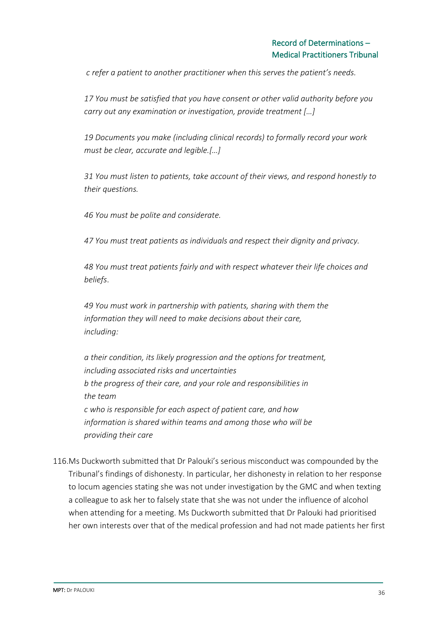*c refer a patient to another practitioner when this serves the patient's needs.* 

*17 You must be satisfied that you have consent or other valid authority before you carry out any examination or investigation, provide treatment […]*

*19 Documents you make (including clinical records) to formally record your work must be clear, accurate and legible.[…]* 

*31 You must listen to patients, take account of their views, and respond honestly to their questions.* 

*46 You must be polite and considerate.* 

*47 You must treat patients as individuals and respect their dignity and privacy.* 

*48 You must treat patients fairly and with respect whatever their life choices and beliefs*.

*49 You must work in partnership with patients, sharing with them the information they will need to make decisions about their care, including:*

*a their condition, its likely progression and the options for treatment, including associated risks and uncertainties b the progress of their care, and your role and responsibilities in the team c who is responsible for each aspect of patient care, and how information is shared within teams and among those who will be providing their care*

116.Ms Duckworth submitted that Dr Palouki's serious misconduct was compounded by the Tribunal's findings of dishonesty. In particular, her dishonesty in relation to her response to locum agencies stating she was not under investigation by the GMC and when texting a colleague to ask her to falsely state that she was not under the influence of alcohol when attending for a meeting. Ms Duckworth submitted that Dr Palouki had prioritised her own interests over that of the medical profession and had not made patients her first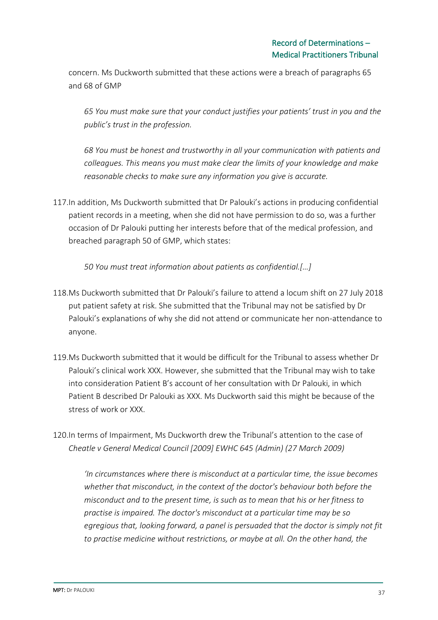concern. Ms Duckworth submitted that these actions were a breach of paragraphs 65 and 68 of GMP

*65 You must make sure that your conduct justifies your patients' trust in you and the public's trust in the profession.* 

*68 You must be honest and trustworthy in all your communication with patients and colleagues. This means you must make clear the limits of your knowledge and make reasonable checks to make sure any information you give is accurate.* 

117.In addition, Ms Duckworth submitted that Dr Palouki's actions in producing confidential patient records in a meeting, when she did not have permission to do so, was a further occasion of Dr Palouki putting her interests before that of the medical profession, and breached paragraph 50 of GMP, which states:

*50 You must treat information about patients as confidential.[…]*

- 118.Ms Duckworth submitted that Dr Palouki's failure to attend a locum shift on 27 July 2018 put patient safety at risk. She submitted that the Tribunal may not be satisfied by Dr Palouki's explanations of why she did not attend or communicate her non-attendance to anyone.
- 119.Ms Duckworth submitted that it would be difficult for the Tribunal to assess whether Dr Palouki's clinical work XXX. However, she submitted that the Tribunal may wish to take into consideration Patient B's account of her consultation with Dr Palouki, in which Patient B described Dr Palouki as XXX. Ms Duckworth said this might be because of the stress of work or XXX.
- 120.In terms of Impairment, Ms Duckworth drew the Tribunal's attention to the case of *Cheatle v General Medical Council [2009] EWHC 645 (Admin) (27 March 2009)*

*'In circumstances where there is misconduct at a particular time, the issue becomes whether that misconduct, in the context of the doctor's behaviour both before the misconduct and to the present time, is such as to mean that his or her fitness to practise is impaired. The doctor's misconduct at a particular time may be so egregious that, looking forward, a panel is persuaded that the doctor is simply not fit to practise medicine without restrictions, or maybe at all. On the other hand, the*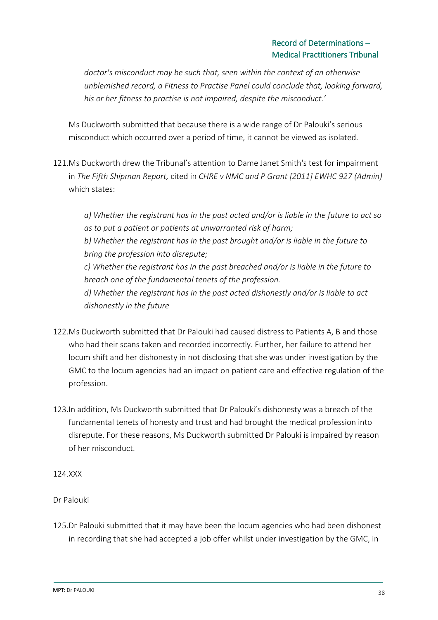*doctor's misconduct may be such that, seen within the context of an otherwise unblemished record, a Fitness to Practise Panel could conclude that, looking forward, his or her fitness to practise is not impaired, despite the misconduct.'* 

Ms Duckworth submitted that because there is a wide range of Dr Palouki's serious misconduct which occurred over a period of time, it cannot be viewed as isolated.

121.Ms Duckworth drew the Tribunal's attention to Dame Janet Smith's test for impairment in *The Fifth Shipman Report,* cited in *CHRE v NMC and P Grant [2011] EWHC 927 (Admin)*  which states:

*a) Whether the registrant has in the past acted and/or is liable in the future to act so as to put a patient or patients at unwarranted risk of harm; b) Whether the registrant has in the past brought and/or is liable in the future to bring the profession into disrepute; c) Whether the registrant has in the past breached and/or is liable in the future to breach one of the fundamental tenets of the profession. d) Whether the registrant has in the past acted dishonestly and/or is liable to act* 

- 122.Ms Duckworth submitted that Dr Palouki had caused distress to Patients A, B and those who had their scans taken and recorded incorrectly. Further, her failure to attend her locum shift and her dishonesty in not disclosing that she was under investigation by the GMC to the locum agencies had an impact on patient care and effective regulation of the profession.
- 123.In addition, Ms Duckworth submitted that Dr Palouki's dishonesty was a breach of the fundamental tenets of honesty and trust and had brought the medical profession into disrepute. For these reasons, Ms Duckworth submitted Dr Palouki is impaired by reason of her misconduct.

## 124.XXX

*dishonestly in the future* 

## Dr Palouki

125.Dr Palouki submitted that it may have been the locum agencies who had been dishonest in recording that she had accepted a job offer whilst under investigation by the GMC, in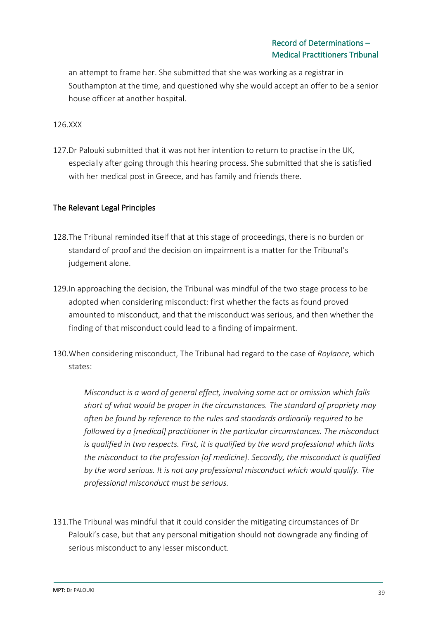an attempt to frame her. She submitted that she was working as a registrar in Southampton at the time, and questioned why she would accept an offer to be a senior house officer at another hospital.

### 126.XXX

127.Dr Palouki submitted that it was not her intention to return to practise in the UK, especially after going through this hearing process. She submitted that she is satisfied with her medical post in Greece, and has family and friends there.

### The Relevant Legal Principles

- 128.The Tribunal reminded itself that at this stage of proceedings, there is no burden or standard of proof and the decision on impairment is a matter for the Tribunal's judgement alone.
- 129.In approaching the decision, the Tribunal was mindful of the two stage process to be adopted when considering misconduct: first whether the facts as found proved amounted to misconduct, and that the misconduct was serious, and then whether the finding of that misconduct could lead to a finding of impairment.
- 130.When considering misconduct, The Tribunal had regard to the case of *Roylance,* which states:

*Misconduct is a word of general effect, involving some act or omission which falls short of what would be proper in the circumstances. The standard of propriety may often be found by reference to the rules and standards ordinarily required to be followed by a [medical] practitioner in the particular circumstances. The misconduct is qualified in two respects. First, it is qualified by the word professional which links the misconduct to the profession [of medicine]. Secondly, the misconduct is qualified by the word serious. It is not any professional misconduct which would qualify. The professional misconduct must be serious.* 

131.The Tribunal was mindful that it could consider the mitigating circumstances of Dr Palouki's case, but that any personal mitigation should not downgrade any finding of serious misconduct to any lesser misconduct.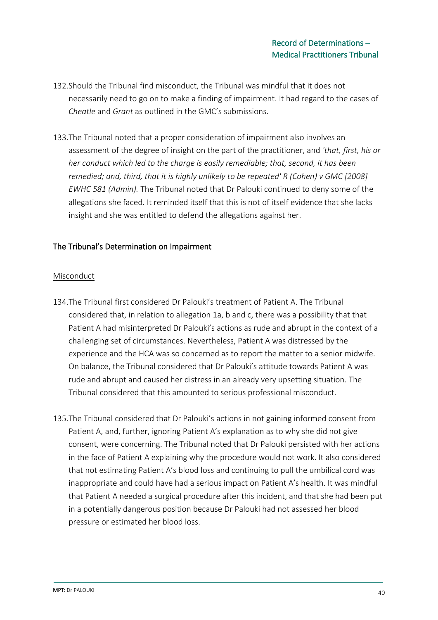- 132.Should the Tribunal find misconduct, the Tribunal was mindful that it does not necessarily need to go on to make a finding of impairment. It had regard to the cases of *Cheatle* and *Grant* as outlined in the GMC's submissions.
- 133.The Tribunal noted that a proper consideration of impairment also involves an assessment of the degree of insight on the part of the practitioner, and *'that, first, his or her conduct which led to the charge is easily remediable; that, second, it has been remedied; and, third, that it is highly unlikely to be repeated' R (Cohen) v GMC [2008] EWHC 581 (Admin).* The Tribunal noted that Dr Palouki continued to deny some of the allegations she faced. It reminded itself that this is not of itself evidence that she lacks insight and she was entitled to defend the allegations against her.

### The Tribunal's Determination on Impairment

### Misconduct

- 134.The Tribunal first considered Dr Palouki's treatment of Patient A. The Tribunal considered that, in relation to allegation 1a, b and c, there was a possibility that that Patient A had misinterpreted Dr Palouki's actions as rude and abrupt in the context of a challenging set of circumstances. Nevertheless, Patient A was distressed by the experience and the HCA was so concerned as to report the matter to a senior midwife. On balance, the Tribunal considered that Dr Palouki's attitude towards Patient A was rude and abrupt and caused her distress in an already very upsetting situation. The Tribunal considered that this amounted to serious professional misconduct.
- 135.The Tribunal considered that Dr Palouki's actions in not gaining informed consent from Patient A, and, further, ignoring Patient A's explanation as to why she did not give consent, were concerning. The Tribunal noted that Dr Palouki persisted with her actions in the face of Patient A explaining why the procedure would not work. It also considered that not estimating Patient A's blood loss and continuing to pull the umbilical cord was inappropriate and could have had a serious impact on Patient A's health. It was mindful that Patient A needed a surgical procedure after this incident, and that she had been put in a potentially dangerous position because Dr Palouki had not assessed her blood pressure or estimated her blood loss.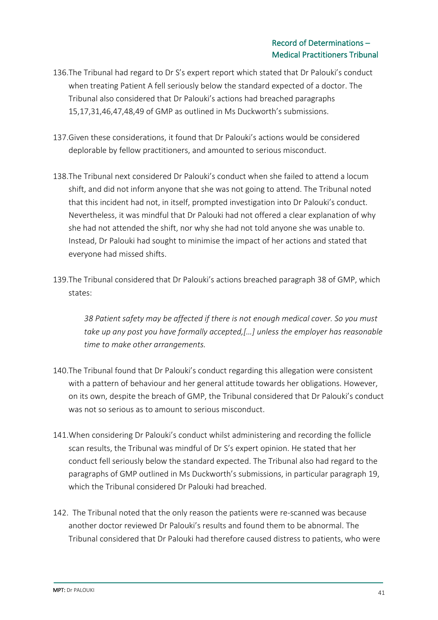- 136.The Tribunal had regard to Dr S's expert report which stated that Dr Palouki's conduct when treating Patient A fell seriously below the standard expected of a doctor. The Tribunal also considered that Dr Palouki's actions had breached paragraphs 15,17,31,46,47,48,49 of GMP as outlined in Ms Duckworth's submissions.
- 137.Given these considerations, it found that Dr Palouki's actions would be considered deplorable by fellow practitioners, and amounted to serious misconduct.
- 138.The Tribunal next considered Dr Palouki's conduct when she failed to attend a locum shift, and did not inform anyone that she was not going to attend. The Tribunal noted that this incident had not, in itself, prompted investigation into Dr Palouki's conduct. Nevertheless, it was mindful that Dr Palouki had not offered a clear explanation of why she had not attended the shift, nor why she had not told anyone she was unable to. Instead, Dr Palouki had sought to minimise the impact of her actions and stated that everyone had missed shifts.
- 139.The Tribunal considered that Dr Palouki's actions breached paragraph 38 of GMP, which states:

*38 Patient safety may be affected if there is not enough medical cover. So you must take up any post you have formally accepted,[…] unless the employer has reasonable time to make other arrangements.*

- 140.The Tribunal found that Dr Palouki's conduct regarding this allegation were consistent with a pattern of behaviour and her general attitude towards her obligations. However, on its own, despite the breach of GMP, the Tribunal considered that Dr Palouki's conduct was not so serious as to amount to serious misconduct.
- 141.When considering Dr Palouki's conduct whilst administering and recording the follicle scan results, the Tribunal was mindful of Dr S's expert opinion. He stated that her conduct fell seriously below the standard expected. The Tribunal also had regard to the paragraphs of GMP outlined in Ms Duckworth's submissions, in particular paragraph 19, which the Tribunal considered Dr Palouki had breached.
- 142. The Tribunal noted that the only reason the patients were re-scanned was because another doctor reviewed Dr Palouki's results and found them to be abnormal. The Tribunal considered that Dr Palouki had therefore caused distress to patients, who were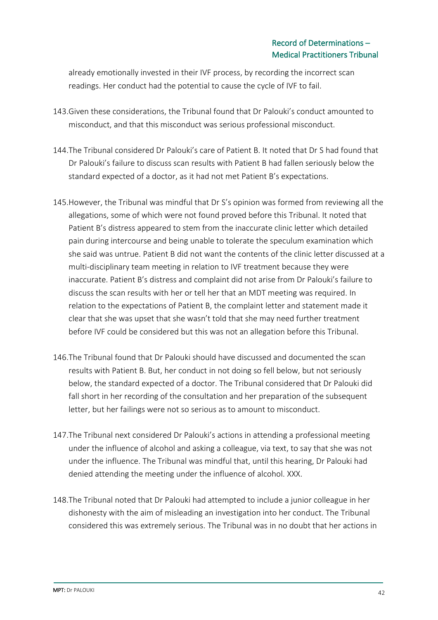already emotionally invested in their IVF process, by recording the incorrect scan readings. Her conduct had the potential to cause the cycle of IVF to fail.

- 143.Given these considerations, the Tribunal found that Dr Palouki's conduct amounted to misconduct, and that this misconduct was serious professional misconduct.
- 144.The Tribunal considered Dr Palouki's care of Patient B. It noted that Dr S had found that Dr Palouki's failure to discuss scan results with Patient B had fallen seriously below the standard expected of a doctor, as it had not met Patient B's expectations.
- 145.However, the Tribunal was mindful that Dr S's opinion was formed from reviewing all the allegations, some of which were not found proved before this Tribunal. It noted that Patient B's distress appeared to stem from the inaccurate clinic letter which detailed pain during intercourse and being unable to tolerate the speculum examination which she said was untrue. Patient B did not want the contents of the clinic letter discussed at a multi-disciplinary team meeting in relation to IVF treatment because they were inaccurate. Patient B's distress and complaint did not arise from Dr Palouki's failure to discuss the scan results with her or tell her that an MDT meeting was required. In relation to the expectations of Patient B, the complaint letter and statement made it clear that she was upset that she wasn't told that she may need further treatment before IVF could be considered but this was not an allegation before this Tribunal.
- 146.The Tribunal found that Dr Palouki should have discussed and documented the scan results with Patient B. But, her conduct in not doing so fell below, but not seriously below, the standard expected of a doctor. The Tribunal considered that Dr Palouki did fall short in her recording of the consultation and her preparation of the subsequent letter, but her failings were not so serious as to amount to misconduct.
- 147.The Tribunal next considered Dr Palouki's actions in attending a professional meeting under the influence of alcohol and asking a colleague, via text, to say that she was not under the influence. The Tribunal was mindful that, until this hearing, Dr Palouki had denied attending the meeting under the influence of alcohol. XXX.
- 148.The Tribunal noted that Dr Palouki had attempted to include a junior colleague in her dishonesty with the aim of misleading an investigation into her conduct. The Tribunal considered this was extremely serious. The Tribunal was in no doubt that her actions in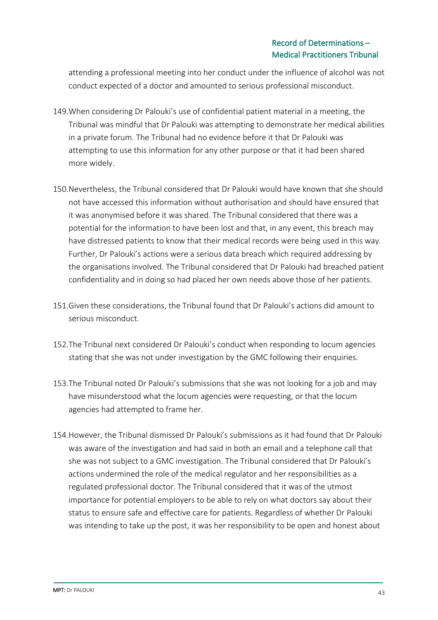attending a professional meeting into her conduct under the influence of alcohol was not conduct expected of a doctor and amounted to serious professional misconduct.

- 149.When considering Dr Palouki's use of confidential patient material in a meeting, the Tribunal was mindful that Dr Palouki was attempting to demonstrate her medical abilities in a private forum. The Tribunal had no evidence before it that Dr Palouki was attempting to use this information for any other purpose or that it had been shared more widely.
- 150.Nevertheless, the Tribunal considered that Dr Palouki would have known that she should not have accessed this information without authorisation and should have ensured that it was anonymised before it was shared. The Tribunal considered that there was a potential for the information to have been lost and that, in any event, this breach may have distressed patients to know that their medical records were being used in this way. Further, Dr Palouki's actions were a serious data breach which required addressing by the organisations involved. The Tribunal considered that Dr Palouki had breached patient confidentiality and in doing so had placed her own needs above those of her patients.
- 151.Given these considerations, the Tribunal found that Dr Palouki's actions did amount to serious misconduct.
- 152.The Tribunal next considered Dr Palouki's conduct when responding to locum agencies stating that she was not under investigation by the GMC following their enquiries.
- 153.The Tribunal noted Dr Palouki's submissions that she was not looking for a job and may have misunderstood what the locum agencies were requesting, or that the locum agencies had attempted to frame her.
- 154.However, the Tribunal dismissed Dr Palouki's submissions as it had found that Dr Palouki was aware of the investigation and had said in both an email and a telephone call that she was not subject to a GMC investigation. The Tribunal considered that Dr Palouki's actions undermined the role of the medical regulator and her responsibilities as a regulated professional doctor. The Tribunal considered that it was of the utmost importance for potential employers to be able to rely on what doctors say about their status to ensure safe and effective care for patients. Regardless of whether Dr Palouki was intending to take up the post, it was her responsibility to be open and honest about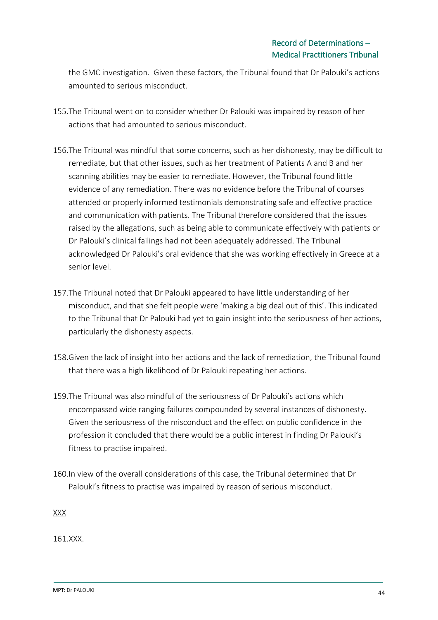the GMC investigation. Given these factors, the Tribunal found that Dr Palouki's actions amounted to serious misconduct.

- 155.The Tribunal went on to consider whether Dr Palouki was impaired by reason of her actions that had amounted to serious misconduct.
- 156.The Tribunal was mindful that some concerns, such as her dishonesty, may be difficult to remediate, but that other issues, such as her treatment of Patients A and B and her scanning abilities may be easier to remediate. However, the Tribunal found little evidence of any remediation. There was no evidence before the Tribunal of courses attended or properly informed testimonials demonstrating safe and effective practice and communication with patients. The Tribunal therefore considered that the issues raised by the allegations, such as being able to communicate effectively with patients or Dr Palouki's clinical failings had not been adequately addressed. The Tribunal acknowledged Dr Palouki's oral evidence that she was working effectively in Greece at a senior level.
- 157.The Tribunal noted that Dr Palouki appeared to have little understanding of her misconduct, and that she felt people were 'making a big deal out of this'. This indicated to the Tribunal that Dr Palouki had yet to gain insight into the seriousness of her actions, particularly the dishonesty aspects.
- 158.Given the lack of insight into her actions and the lack of remediation, the Tribunal found that there was a high likelihood of Dr Palouki repeating her actions.
- 159.The Tribunal was also mindful of the seriousness of Dr Palouki's actions which encompassed wide ranging failures compounded by several instances of dishonesty. Given the seriousness of the misconduct and the effect on public confidence in the profession it concluded that there would be a public interest in finding Dr Palouki's fitness to practise impaired.
- 160.In view of the overall considerations of this case, the Tribunal determined that Dr Palouki's fitness to practise was impaired by reason of serious misconduct.

XXX

161.XXX.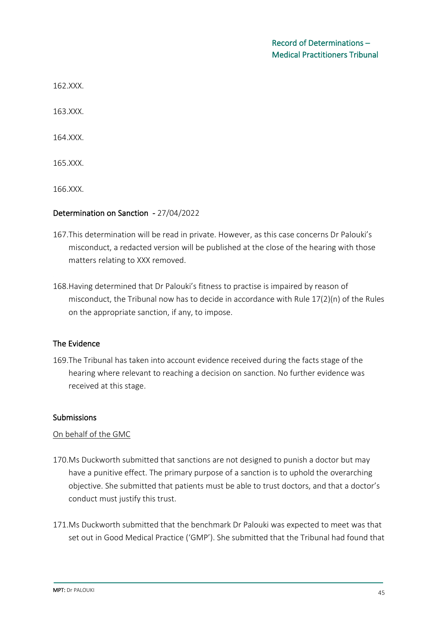162.XXX.

163.XXX.

164.XXX.

165.XXX.

166.XXX.

#### Determination on Sanction - 27/04/2022

- 167.This determination will be read in private. However, as this case concerns Dr Palouki's misconduct, a redacted version will be published at the close of the hearing with those matters relating to XXX removed.
- 168.Having determined that Dr Palouki's fitness to practise is impaired by reason of misconduct, the Tribunal now has to decide in accordance with Rule 17(2)(n) of the Rules on the appropriate sanction, if any, to impose.

### The Evidence

169.The Tribunal has taken into account evidence received during the facts stage of the hearing where relevant to reaching a decision on sanction. No further evidence was received at this stage.

#### Submissions

#### On behalf of the GMC

- 170.Ms Duckworth submitted that sanctions are not designed to punish a doctor but may have a punitive effect. The primary purpose of a sanction is to uphold the overarching objective. She submitted that patients must be able to trust doctors, and that a doctor's conduct must justify this trust.
- 171.Ms Duckworth submitted that the benchmark Dr Palouki was expected to meet was that set out in Good Medical Practice ('GMP'). She submitted that the Tribunal had found that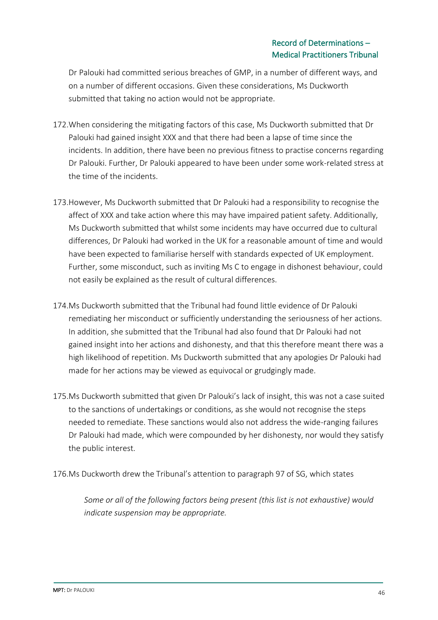Dr Palouki had committed serious breaches of GMP, in a number of different ways, and on a number of different occasions. Given these considerations, Ms Duckworth submitted that taking no action would not be appropriate.

- 172.When considering the mitigating factors of this case, Ms Duckworth submitted that Dr Palouki had gained insight XXX and that there had been a lapse of time since the incidents. In addition, there have been no previous fitness to practise concerns regarding Dr Palouki. Further, Dr Palouki appeared to have been under some work-related stress at the time of the incidents.
- 173.However, Ms Duckworth submitted that Dr Palouki had a responsibility to recognise the affect of XXX and take action where this may have impaired patient safety. Additionally, Ms Duckworth submitted that whilst some incidents may have occurred due to cultural differences, Dr Palouki had worked in the UK for a reasonable amount of time and would have been expected to familiarise herself with standards expected of UK employment. Further, some misconduct, such as inviting Ms C to engage in dishonest behaviour, could not easily be explained as the result of cultural differences.
- 174.Ms Duckworth submitted that the Tribunal had found little evidence of Dr Palouki remediating her misconduct or sufficiently understanding the seriousness of her actions. In addition, she submitted that the Tribunal had also found that Dr Palouki had not gained insight into her actions and dishonesty, and that this therefore meant there was a high likelihood of repetition. Ms Duckworth submitted that any apologies Dr Palouki had made for her actions may be viewed as equivocal or grudgingly made.
- 175.Ms Duckworth submitted that given Dr Palouki's lack of insight, this was not a case suited to the sanctions of undertakings or conditions, as she would not recognise the steps needed to remediate. These sanctions would also not address the wide-ranging failures Dr Palouki had made, which were compounded by her dishonesty, nor would they satisfy the public interest.
- 176.Ms Duckworth drew the Tribunal's attention to paragraph 97 of SG, which states

*Some or all of the following factors being present (this list is not exhaustive) would indicate suspension may be appropriate.*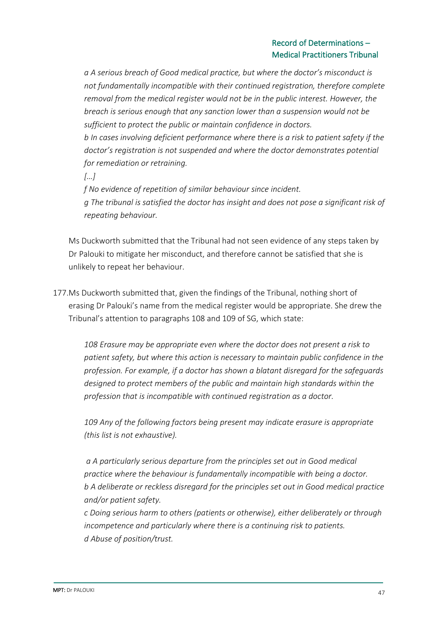*a A serious breach of Good medical practice, but where the doctor's misconduct is not fundamentally incompatible with their continued registration, therefore complete removal from the medical register would not be in the public interest. However, the breach is serious enough that any sanction lower than a suspension would not be sufficient to protect the public or maintain confidence in doctors. b In cases involving deficient performance where there is a risk to patient safety if the doctor's registration is not suspended and where the doctor demonstrates potential for remediation or retraining.* 

*[…]*

*f No evidence of repetition of similar behaviour since incident. g The tribunal is satisfied the doctor has insight and does not pose a significant risk of repeating behaviour.* 

Ms Duckworth submitted that the Tribunal had not seen evidence of any steps taken by Dr Palouki to mitigate her misconduct, and therefore cannot be satisfied that she is unlikely to repeat her behaviour.

177.Ms Duckworth submitted that, given the findings of the Tribunal, nothing short of erasing Dr Palouki's name from the medical register would be appropriate. She drew the Tribunal's attention to paragraphs 108 and 109 of SG, which state:

*108 Erasure may be appropriate even where the doctor does not present a risk to patient safety, but where this action is necessary to maintain public confidence in the profession. For example, if a doctor has shown a blatant disregard for the safeguards designed to protect members of the public and maintain high standards within the profession that is incompatible with continued registration as a doctor.* 

*109 Any of the following factors being present may indicate erasure is appropriate (this list is not exhaustive).*

*a A particularly serious departure from the principles set out in Good medical practice where the behaviour is fundamentally incompatible with being a doctor. b A deliberate or reckless disregard for the principles set out in Good medical practice and/or patient safety.* 

*c Doing serious harm to others (patients or otherwise), either deliberately or through incompetence and particularly where there is a continuing risk to patients. d Abuse of position/trust.*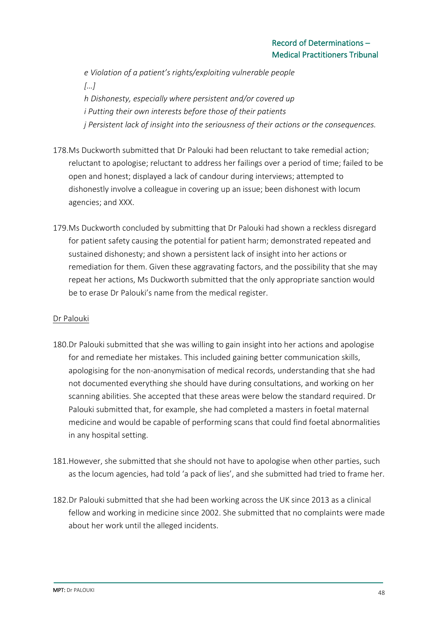*e Violation of a patient's rights/exploiting vulnerable people […] h Dishonesty, especially where persistent and/or covered up i Putting their own interests before those of their patients j Persistent lack of insight into the seriousness of their actions or the consequences.* 

- 178.Ms Duckworth submitted that Dr Palouki had been reluctant to take remedial action; reluctant to apologise; reluctant to address her failings over a period of time; failed to be open and honest; displayed a lack of candour during interviews; attempted to dishonestly involve a colleague in covering up an issue; been dishonest with locum agencies; and XXX.
- 179.Ms Duckworth concluded by submitting that Dr Palouki had shown a reckless disregard for patient safety causing the potential for patient harm; demonstrated repeated and sustained dishonesty; and shown a persistent lack of insight into her actions or remediation for them. Given these aggravating factors, and the possibility that she may repeat her actions, Ms Duckworth submitted that the only appropriate sanction would be to erase Dr Palouki's name from the medical register.

## Dr Palouki

- 180.Dr Palouki submitted that she was willing to gain insight into her actions and apologise for and remediate her mistakes. This included gaining better communication skills, apologising for the non-anonymisation of medical records, understanding that she had not documented everything she should have during consultations, and working on her scanning abilities. She accepted that these areas were below the standard required. Dr Palouki submitted that, for example, she had completed a masters in foetal maternal medicine and would be capable of performing scans that could find foetal abnormalities in any hospital setting.
- 181.However, she submitted that she should not have to apologise when other parties, such as the locum agencies, had told 'a pack of lies', and she submitted had tried to frame her.
- 182.Dr Palouki submitted that she had been working across the UK since 2013 as a clinical fellow and working in medicine since 2002. She submitted that no complaints were made about her work until the alleged incidents.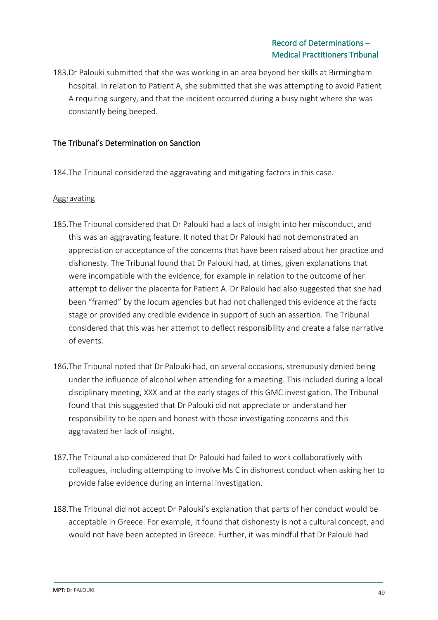183.Dr Palouki submitted that she was working in an area beyond her skills at Birmingham hospital. In relation to Patient A, she submitted that she was attempting to avoid Patient A requiring surgery, and that the incident occurred during a busy night where she was constantly being beeped.

## The Tribunal's Determination on Sanction

184.The Tribunal considered the aggravating and mitigating factors in this case.

### Aggravating

- 185.The Tribunal considered that Dr Palouki had a lack of insight into her misconduct, and this was an aggravating feature. It noted that Dr Palouki had not demonstrated an appreciation or acceptance of the concerns that have been raised about her practice and dishonesty. The Tribunal found that Dr Palouki had, at times, given explanations that were incompatible with the evidence, for example in relation to the outcome of her attempt to deliver the placenta for Patient A. Dr Palouki had also suggested that she had been "framed" by the locum agencies but had not challenged this evidence at the facts stage or provided any credible evidence in support of such an assertion. The Tribunal considered that this was her attempt to deflect responsibility and create a false narrative of events.
- 186.The Tribunal noted that Dr Palouki had, on several occasions, strenuously denied being under the influence of alcohol when attending for a meeting. This included during a local disciplinary meeting, XXX and at the early stages of this GMC investigation. The Tribunal found that this suggested that Dr Palouki did not appreciate or understand her responsibility to be open and honest with those investigating concerns and this aggravated her lack of insight.
- 187.The Tribunal also considered that Dr Palouki had failed to work collaboratively with colleagues, including attempting to involve Ms C in dishonest conduct when asking her to provide false evidence during an internal investigation.
- 188.The Tribunal did not accept Dr Palouki's explanation that parts of her conduct would be acceptable in Greece. For example, it found that dishonesty is not a cultural concept, and would not have been accepted in Greece. Further, it was mindful that Dr Palouki had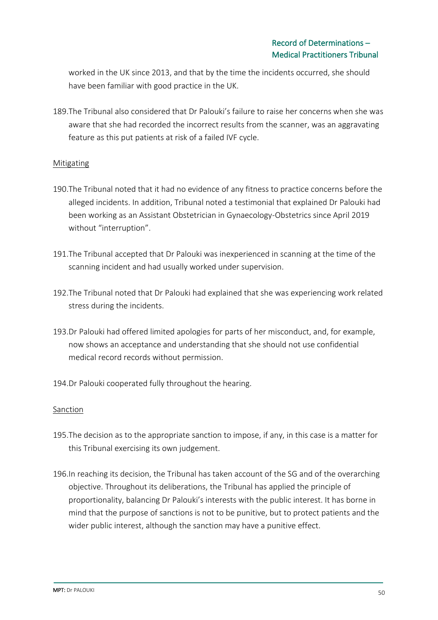worked in the UK since 2013, and that by the time the incidents occurred, she should have been familiar with good practice in the UK.

189.The Tribunal also considered that Dr Palouki's failure to raise her concerns when she was aware that she had recorded the incorrect results from the scanner, was an aggravating feature as this put patients at risk of a failed IVF cycle.

### **Mitigating**

- 190.The Tribunal noted that it had no evidence of any fitness to practice concerns before the alleged incidents. In addition, Tribunal noted a testimonial that explained Dr Palouki had been working as an Assistant Obstetrician in Gynaecology-Obstetrics since April 2019 without "interruption".
- 191.The Tribunal accepted that Dr Palouki was inexperienced in scanning at the time of the scanning incident and had usually worked under supervision.
- 192.The Tribunal noted that Dr Palouki had explained that she was experiencing work related stress during the incidents.
- 193.Dr Palouki had offered limited apologies for parts of her misconduct, and, for example, now shows an acceptance and understanding that she should not use confidential medical record records without permission.
- 194.Dr Palouki cooperated fully throughout the hearing.

### **Sanction**

- 195.The decision as to the appropriate sanction to impose, if any, in this case is a matter for this Tribunal exercising its own judgement.
- 196.In reaching its decision, the Tribunal has taken account of the SG and of the overarching objective. Throughout its deliberations, the Tribunal has applied the principle of proportionality, balancing Dr Palouki's interests with the public interest. It has borne in mind that the purpose of sanctions is not to be punitive, but to protect patients and the wider public interest, although the sanction may have a punitive effect.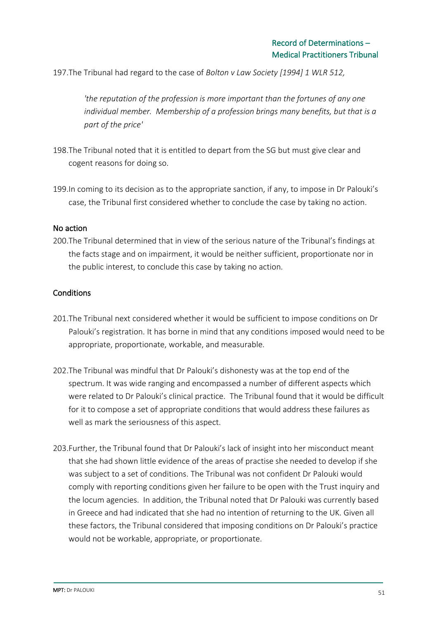197.The Tribunal had regard to the case of *Bolton v Law Society [1994] 1 WLR 512,*

*'the reputation of the profession is more important than the fortunes of any one individual member. Membership of a profession brings many benefits, but that is a part of the price'* 

- 198.The Tribunal noted that it is entitled to depart from the SG but must give clear and cogent reasons for doing so.
- 199.In coming to its decision as to the appropriate sanction, if any, to impose in Dr Palouki's case, the Tribunal first considered whether to conclude the case by taking no action.

### No action

200.The Tribunal determined that in view of the serious nature of the Tribunal's findings at the facts stage and on impairment, it would be neither sufficient, proportionate nor in the public interest, to conclude this case by taking no action.

### **Conditions**

- 201.The Tribunal next considered whether it would be sufficient to impose conditions on Dr Palouki's registration. It has borne in mind that any conditions imposed would need to be appropriate, proportionate, workable, and measurable.
- 202.The Tribunal was mindful that Dr Palouki's dishonesty was at the top end of the spectrum. It was wide ranging and encompassed a number of different aspects which were related to Dr Palouki's clinical practice. The Tribunal found that it would be difficult for it to compose a set of appropriate conditions that would address these failures as well as mark the seriousness of this aspect.
- 203.Further, the Tribunal found that Dr Palouki's lack of insight into her misconduct meant that she had shown little evidence of the areas of practise she needed to develop if she was subject to a set of conditions. The Tribunal was not confident Dr Palouki would comply with reporting conditions given her failure to be open with the Trust inquiry and the locum agencies. In addition, the Tribunal noted that Dr Palouki was currently based in Greece and had indicated that she had no intention of returning to the UK. Given all these factors, the Tribunal considered that imposing conditions on Dr Palouki's practice would not be workable, appropriate, or proportionate.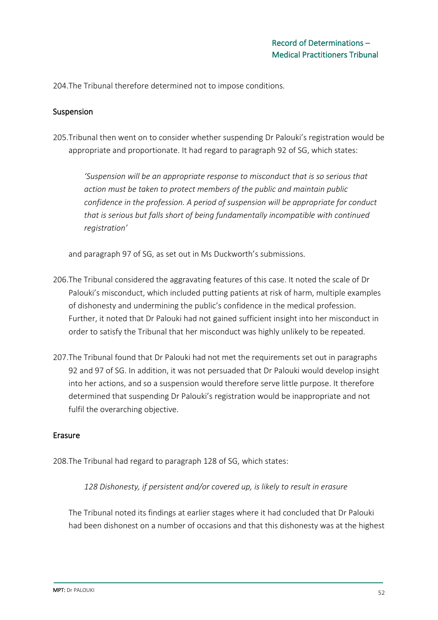204.The Tribunal therefore determined not to impose conditions.

### Suspension

205.Tribunal then went on to consider whether suspending Dr Palouki's registration would be appropriate and proportionate. It had regard to paragraph 92 of SG, which states:

*'Suspension will be an appropriate response to misconduct that is so serious that action must be taken to protect members of the public and maintain public confidence in the profession. A period of suspension will be appropriate for conduct that is serious but falls short of being fundamentally incompatible with continued registration'* 

and paragraph 97 of SG, as set out in Ms Duckworth's submissions.

- 206.The Tribunal considered the aggravating features of this case. It noted the scale of Dr Palouki's misconduct, which included putting patients at risk of harm, multiple examples of dishonesty and undermining the public's confidence in the medical profession. Further, it noted that Dr Palouki had not gained sufficient insight into her misconduct in order to satisfy the Tribunal that her misconduct was highly unlikely to be repeated.
- 207.The Tribunal found that Dr Palouki had not met the requirements set out in paragraphs 92 and 97 of SG. In addition, it was not persuaded that Dr Palouki would develop insight into her actions, and so a suspension would therefore serve little purpose. It therefore determined that suspending Dr Palouki's registration would be inappropriate and not fulfil the overarching objective.

### Erasure

208.The Tribunal had regard to paragraph 128 of SG, which states:

*128 Dishonesty, if persistent and/or covered up, is likely to result in erasure* 

The Tribunal noted its findings at earlier stages where it had concluded that Dr Palouki had been dishonest on a number of occasions and that this dishonesty was at the highest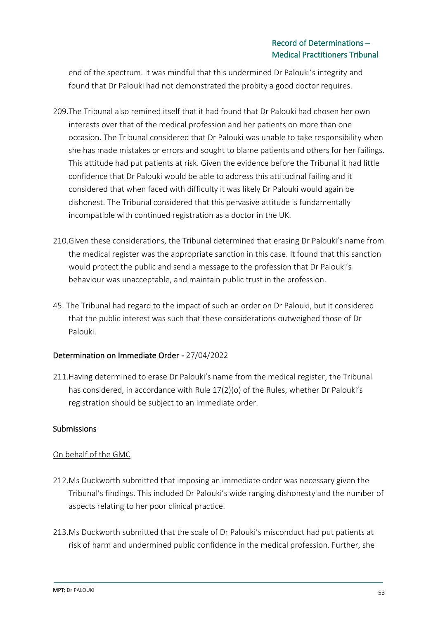end of the spectrum. It was mindful that this undermined Dr Palouki's integrity and found that Dr Palouki had not demonstrated the probity a good doctor requires.

- 209.The Tribunal also remined itself that it had found that Dr Palouki had chosen her own interests over that of the medical profession and her patients on more than one occasion. The Tribunal considered that Dr Palouki was unable to take responsibility when she has made mistakes or errors and sought to blame patients and others for her failings. This attitude had put patients at risk. Given the evidence before the Tribunal it had little confidence that Dr Palouki would be able to address this attitudinal failing and it considered that when faced with difficulty it was likely Dr Palouki would again be dishonest. The Tribunal considered that this pervasive attitude is fundamentally incompatible with continued registration as a doctor in the UK.
- 210.Given these considerations, the Tribunal determined that erasing Dr Palouki's name from the medical register was the appropriate sanction in this case. It found that this sanction would protect the public and send a message to the profession that Dr Palouki's behaviour was unacceptable, and maintain public trust in the profession.
- 45. The Tribunal had regard to the impact of such an order on Dr Palouki, but it considered that the public interest was such that these considerations outweighed those of Dr Palouki.

## Determination on Immediate Order - 27/04/2022

211.Having determined to erase Dr Palouki's name from the medical register, the Tribunal has considered, in accordance with Rule 17(2)(o) of the Rules, whether Dr Palouki's registration should be subject to an immediate order.

## **Submissions**

## On behalf of the GMC

- 212.Ms Duckworth submitted that imposing an immediate order was necessary given the Tribunal's findings. This included Dr Palouki's wide ranging dishonesty and the number of aspects relating to her poor clinical practice.
- 213.Ms Duckworth submitted that the scale of Dr Palouki's misconduct had put patients at risk of harm and undermined public confidence in the medical profession. Further, she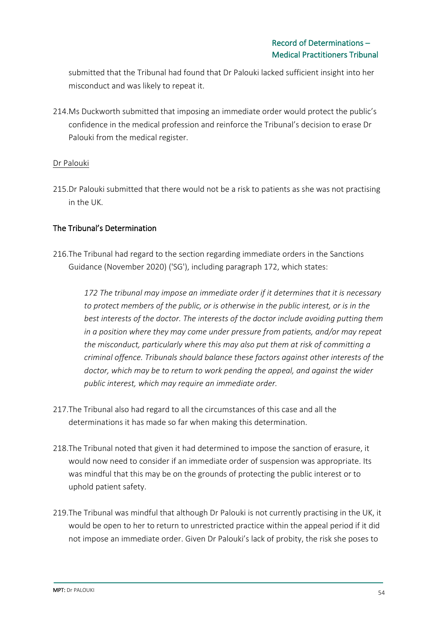submitted that the Tribunal had found that Dr Palouki lacked sufficient insight into her misconduct and was likely to repeat it.

214.Ms Duckworth submitted that imposing an immediate order would protect the public's confidence in the medical profession and reinforce the Tribunal's decision to erase Dr Palouki from the medical register.

## Dr Palouki

215.Dr Palouki submitted that there would not be a risk to patients as she was not practising in the UK.

## The Tribunal's Determination

216.The Tribunal had regard to the section regarding immediate orders in the Sanctions Guidance (November 2020) ('SG'), including paragraph 172, which states:

*172 The tribunal may impose an immediate order if it determines that it is necessary to protect members of the public, or is otherwise in the public interest, or is in the best interests of the doctor. The interests of the doctor include avoiding putting them in a position where they may come under pressure from patients, and/or may repeat the misconduct, particularly where this may also put them at risk of committing a criminal offence. Tribunals should balance these factors against other interests of the doctor, which may be to return to work pending the appeal, and against the wider public interest, which may require an immediate order.* 

- 217.The Tribunal also had regard to all the circumstances of this case and all the determinations it has made so far when making this determination.
- 218.The Tribunal noted that given it had determined to impose the sanction of erasure, it would now need to consider if an immediate order of suspension was appropriate. Its was mindful that this may be on the grounds of protecting the public interest or to uphold patient safety.
- 219.The Tribunal was mindful that although Dr Palouki is not currently practising in the UK, it would be open to her to return to unrestricted practice within the appeal period if it did not impose an immediate order. Given Dr Palouki's lack of probity, the risk she poses to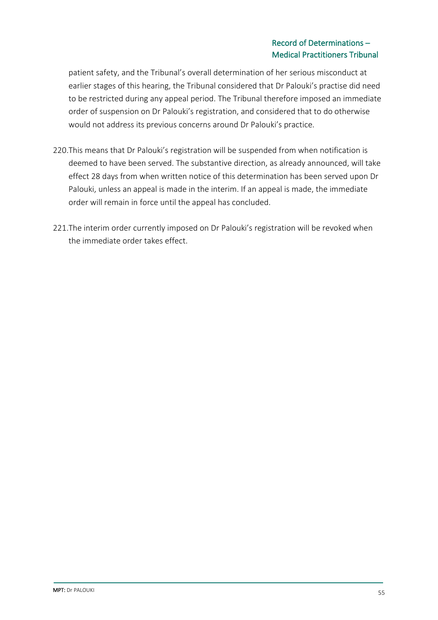## Record of Determinations – Medical Practitioners Tribunal

patient safety, and the Tribunal's overall determination of her serious misconduct at earlier stages of this hearing, the Tribunal considered that Dr Palouki's practise did need to be restricted during any appeal period. The Tribunal therefore imposed an immediate order of suspension on Dr Palouki's registration, and considered that to do otherwise would not address its previous concerns around Dr Palouki's practice.

- 220.This means that Dr Palouki's registration will be suspended from when notification is deemed to have been served. The substantive direction, as already announced, will take effect 28 days from when written notice of this determination has been served upon Dr Palouki, unless an appeal is made in the interim. If an appeal is made, the immediate order will remain in force until the appeal has concluded.
- 221.The interim order currently imposed on Dr Palouki's registration will be revoked when the immediate order takes effect.